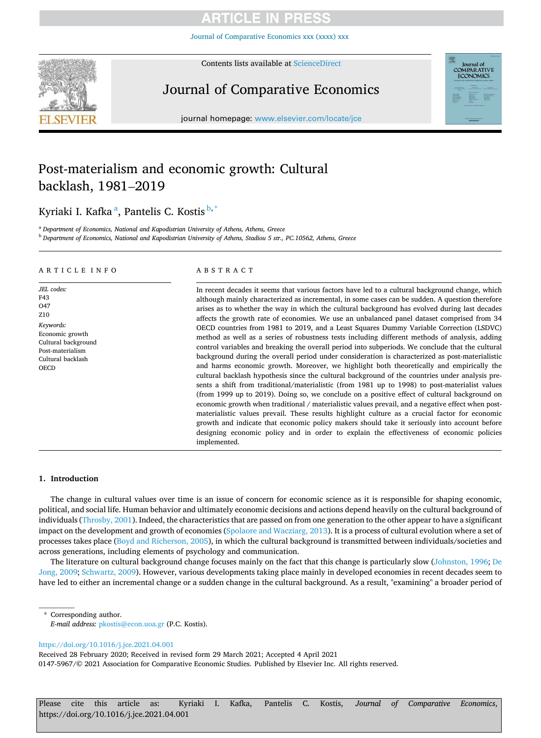Journal of Comparative [Ec](https://doi.org/10.1016/j.jce.2021.04.001)onomics xxx (xxxx) xxx



Contents lists available at [ScienceDirect](www.sciencedirect.com/science/journal/01475967)

# Journal of Comparative Economics



journal homepage: [www.elsevier.com/locate/jce](https://www.elsevier.com/locate/jce)

# Post-materialism and economic growth: Cultural backlash, 1981–2019

Kyriaki I. Kafka<sup>a</sup>, Pantelis C. Kostis<sup>b,\*</sup>

<sup>a</sup> *Department of Economics, National and Kapodistrian University of Athens, Athens, Greece* 

<sup>b</sup> *Department of Economics, National and Kapodistrian University of Athens, Stadiou 5 str., PC.10562, Athens, Greece* 

# A R T I C L E I N F O

*JEL codes:*  F43  $O<sub>47</sub>$ Z10 *Keywords:*  Economic growth Cultural background Post-materialism Cultural backlash **OECD** 

## ABSTRACT

In recent decades it seems that various factors have led to a cultural background change, which although mainly characterized as incremental, in some cases can be sudden. A question therefore arises as to whether the way in which the cultural background has evolved during last decades affects the growth rate of economies. We use an unbalanced panel dataset comprised from 34 OECD countries from 1981 to 2019, and a Least Squares Dummy Variable Correction (LSDVC) method as well as a series of robustness tests including different methods of analysis, adding control variables and breaking the overall period into subperiods. We conclude that the cultural background during the overall period under consideration is characterized as post-materialistic and harms economic growth. Moreover, we highlight both theoretically and empirically the cultural backlash hypothesis since the cultural background of the countries under analysis presents a shift from traditional/materialistic (from 1981 up to 1998) to post-materialist values (from 1999 up to 2019). Doing so, we conclude on a positive effect of cultural background on economic growth when traditional / materialistic values prevail, and a negative effect when postmaterialistic values prevail. These results highlight culture as a crucial factor for economic growth and indicate that economic policy makers should take it seriously into account before designing economic policy and in order to explain the effectiveness of economic policies implemented.

# **1. Introduction**

The change in cultural values over time is an issue of concern for economic science as it is responsible for shaping economic, political, and social life. Human behavior and ultimately economic decisions and actions depend heavily on the cultural background of individuals ([Throsby, 2001](#page-15-0)). Indeed, the characteristics that are passed on from one generation to the other appear to have a significant impact on the development and growth of economies ([Spolaore and Wacziarg, 2013\)](#page-15-0). It is a process of cultural evolution where a set of processes takes place ([Boyd and Richerson, 2005\)](#page-14-0), in which the cultural background is transmitted between individuals/societies and across generations, including elements of psychology and communication.

The literature on cultural background change focuses mainly on the fact that this change is particularly slow [\(Johnston, 1996](#page-15-0); [De](#page-14-0) [Jong, 2009](#page-14-0); [Schwartz, 2009\)](#page-15-0). However, various developments taking place mainly in developed economies in recent decades seem to have led to either an incremental change or a sudden change in the cultural background. As a result, "examining" a broader period of

Corresponding author. *E-mail address:* [pkostis@econ.uoa.gr](mailto:pkostis@econ.uoa.gr) (P.C. Kostis).

<https://doi.org/10.1016/j.jce.2021.04.001>

0147-5967/© 2021 Association for Comparative Economic Studies. Published by Elsevier Inc. All rights reserved. Received 28 February 2020; Received in revised form 29 March 2021; Accepted 4 April 2021

Please cite this article as: Kyriaki I. Kafka, Pantelis C. Kostis, *Journal of Comparative Economics*, https://doi.org/10.1016/j.jce.2021.04.001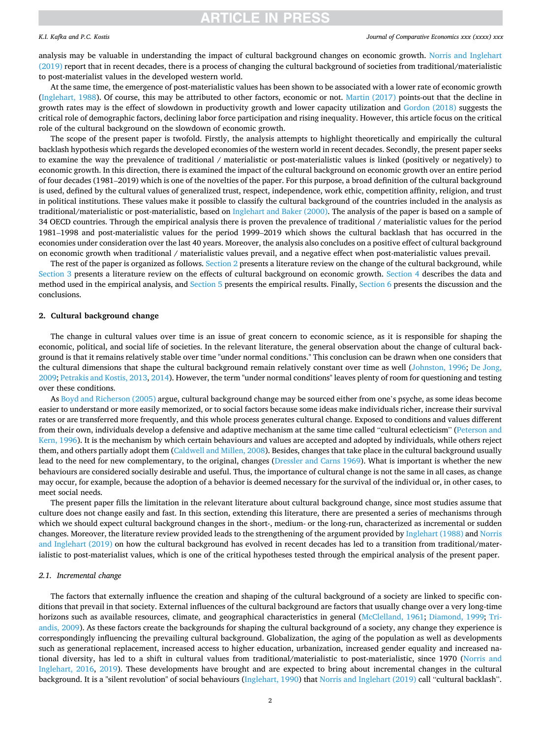# *K.I. Kafka and P.C. Kostis*

### *Journal of Comparative Economics xxx (xxxx) xxx*

analysis may be valuable in understanding the impact of cultural background changes on economic growth. [Norris and Inglehart](#page-15-0) [\(2019\)](#page-15-0) report that in recent decades, there is a process of changing the cultural background of societies from traditional/materialistic to post-materialist values in the developed western world.

At the same time, the emergence of post-materialistic values has been shown to be associated with a lower rate of economic growth [\(Inglehart, 1988\)](#page-15-0). Of course, this may be attributed to other factors, economic or not. [Martin \(2017\)](#page-15-0) points-out that the decline in growth rates may is the effect of slowdown in productivity growth and lower capacity utilization and [Gordon \(2018\)](#page-14-0) suggests the critical role of demographic factors, declining labor force participation and rising inequality. However, this article focus on the critical role of the cultural background on the slowdown of economic growth.

The scope of the present paper is twofold. Firstly, the analysis attempts to highlight theoretically and empirically the cultural backlash hypothesis which regards the developed economies of the western world in recent decades. Secondly, the present paper seeks to examine the way the prevalence of traditional / materialistic or post-materialistic values is linked (positively or negatively) to economic growth. In this direction, there is examined the impact of the cultural background on economic growth over an entire period of four decades (1981–2019) which is one of the novelties of the paper. For this purpose, a broad definition of the cultural background is used, defined by the cultural values of generalized trust, respect, independence, work ethic, competition affinity, religion, and trust in political institutions. These values make it possible to classify the cultural background of the countries included in the analysis as traditional/materialistic or post-materialistic, based on [Inglehart and Baker \(2000\).](#page-15-0) The analysis of the paper is based on a sample of 34 OECD countries. Through the empirical analysis there is proven the prevalence of traditional / materialistic values for the period 1981–1998 and post-materialistic values for the period 1999–2019 which shows the cultural backlash that has occurred in the economies under consideration over the last 40 years. Moreover, the analysis also concludes on a positive effect of cultural background on economic growth when traditional / materialistic values prevail, and a negative effect when post-materialistic values prevail.

The rest of the paper is organized as follows. Section 2 presents a literature review on the change of the cultural background, while [Section 3](#page-4-0) presents a literature review on the effects of cultural background on economic growth. [Section 4](#page-6-0) describes the data and method used in the empirical analysis, and [Section 5](#page-9-0) presents the empirical results. Finally, [Section 6](#page-12-0) presents the discussion and the conclusions.

### **2. Cultural background change**

The change in cultural values over time is an issue of great concern to economic science, as it is responsible for shaping the economic, political, and social life of societies. In the relevant literature, the general observation about the change of cultural background is that it remains relatively stable over time "under normal conditions." This conclusion can be drawn when one considers that the cultural dimensions that shape the cultural background remain relatively constant over time as well ([Johnston, 1996](#page-15-0); [De Jong,](#page-14-0) [2009;](#page-14-0) [Petrakis and Kostis, 2013](#page-15-0), [2014](#page-15-0)). However, the term "under normal conditions" leaves plenty of room for questioning and testing over these conditions.

As [Boyd and Richerson \(2005\)](#page-14-0) argue, cultural background change may be sourced either from one's psyche, as some ideas become easier to understand or more easily memorized, or to social factors because some ideas make individuals richer, increase their survival rates or are transferred more frequently, and this whole process generates cultural change. Exposed to conditions and values different from their own, individuals develop a defensive and adaptive mechanism at the same time called "cultural eclecticism" ([Peterson and](#page-15-0) [Kern, 1996\)](#page-15-0). It is the mechanism by which certain behaviours and values are accepted and adopted by individuals, while others reject them, and others partially adopt them [\(Caldwell and Millen, 2008\)](#page-14-0). Besides, changes that take place in the cultural background usually lead to the need for new complementary, to the original, changes ([Dressler and Carns 1969](#page-14-0)). What is important is whether the new behaviours are considered socially desirable and useful. Thus, the importance of cultural change is not the same in all cases, as change may occur, for example, because the adoption of a behavior is deemed necessary for the survival of the individual or, in other cases, to meet social needs.

The present paper fills the limitation in the relevant literature about cultural background change, since most studies assume that culture does not change easily and fast. In this section, extending this literature, there are presented a series of mechanisms through which we should expect cultural background changes in the short-, medium- or the long-run, characterized as incremental or sudden changes. Moreover, the literature review provided leads to the strengthening of the argument provided by [Inglehart \(1988\)](#page-15-0) and [Norris](#page-15-0) [and Inglehart \(2019\)](#page-15-0) on how the cultural background has evolved in recent decades has led to a transition from traditional/materialistic to post-materialist values, which is one of the critical hypotheses tested through the empirical analysis of the present paper.

# *2.1. Incremental change*

The factors that externally influence the creation and shaping of the cultural background of a society are linked to specific conditions that prevail in that society. External influences of the cultural background are factors that usually change over a very long-time horizons such as available resources, climate, and geographical characteristics in general [\(McClelland, 1961;](#page-15-0) [Diamond, 1999](#page-14-0); [Tri](#page-15-0)[andis, 2009\)](#page-15-0). As these factors create the backgrounds for shaping the cultural background of a society, any change they experience is correspondingly influencing the prevailing cultural background. Globalization, the aging of the population as well as developments such as generational replacement, increased access to higher education, urbanization, increased gender equality and increased national diversity, has led to a shift in cultural values from traditional/materialistic to post-materialistic, since 1970 ([Norris and](#page-15-0) [Inglehart, 2016,](#page-15-0) [2019](#page-15-0)). These developments have brought and are expected to bring about incremental changes in the cultural background. It is a "silent revolution" of social behaviours [\(Inglehart, 1990\)](#page-15-0) that [Norris and Inglehart \(2019\)](#page-15-0) call "cultural backlash".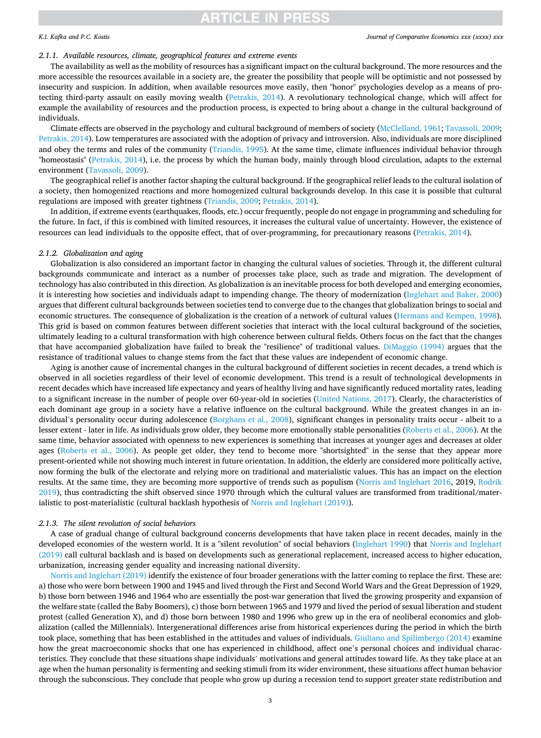# *K.I. Kafka and P.C. Kostis*

### *2.1.1. Available resources, climate, geographical features and extreme events*

The availability as well as the mobility of resources has a significant impact on the cultural background. The more resources and the more accessible the resources available in a society are, the greater the possibility that people will be optimistic and not possessed by insecurity and suspicion. In addition, when available resources move easily, then "honor" psychologies develop as a means of protecting third-party assault on easily moving wealth [\(Petrakis, 2014](#page-15-0)). A revolutionary technological change, which will affect for example the availability of resources and the production process, is expected to bring about a change in the cultural background of individuals.

Climate effects are observed in the psychology and cultural background of members of society ([McClelland, 1961](#page-15-0); [Tavassoli, 2009](#page-15-0); [Petrakis, 2014](#page-15-0)). Low temperatures are associated with the adoption of privacy and introversion. Also, individuals are more disciplined and obey the terms and rules of the community ([Triandis, 1995](#page-15-0)). At the same time, climate influences individual behavior through "homeostasis" [\(Petrakis, 2014](#page-15-0)), i.e. the process by which the human body, mainly through blood circulation, adapts to the external environment [\(Tavassoli, 2009](#page-15-0)).

The geographical relief is another factor shaping the cultural background. If the geographical relief leads to the cultural isolation of a society, then homogenized reactions and more homogenized cultural backgrounds develop. In this case it is possible that cultural regulations are imposed with greater tightness ([Triandis, 2009](#page-15-0); [Petrakis, 2014\)](#page-15-0).

In addition, if extreme events (earthquakes, floods, etc.) occur frequently, people do not engage in programming and scheduling for the future. In fact, if this is combined with limited resources, it increases the cultural value of uncertainty. However, the existence of resources can lead individuals to the opposite effect, that of over-programming, for precautionary reasons [\(Petrakis, 2014\)](#page-15-0).

## *2.1.2. Globalization and aging*

Globalization is also considered an important factor in changing the cultural values of societies. Through it, the different cultural backgrounds communicate and interact as a number of processes take place, such as trade and migration. The development of technology has also contributed in this direction. As globalization is an inevitable process for both developed and emerging economies, it is interesting how societies and individuals adapt to impending change. The theory of modernization ([Inglehart and Baker, 2000](#page-15-0)) argues that different cultural backgrounds between societies tend to converge due to the changes that globalization brings to social and economic structures. The consequence of globalization is the creation of a network of cultural values ([Hermans and Kempen, 1998](#page-15-0)). This grid is based on common features between different societies that interact with the local cultural background of the societies, ultimately leading to a cultural transformation with high coherence between cultural fields. Others focus on the fact that the changes that have accompanied globalization have failed to break the "resilience" of traditional values. [DiMaggio \(1994\)](#page-14-0) argues that the resistance of traditional values to change stems from the fact that these values are independent of economic change.

Аging is another cause of incremental changes in the cultural background of different societies in recent decades, a trend which is observed in all societies regardless of their level of economic development. This trend is a result of technological developments in recent decades which have increased life expectancy and years of healthy living and have significantly reduced mortality rates, leading to a significant increase in the number of people over 60-year-old in societies ([United Nations, 2017](#page-15-0)). Clearly, the characteristics of each dominant age group in a society have a relative influence on the cultural background. While the greatest changes in an individual's personality occur during adolescence [\(Borghans et al., 2008\)](#page-14-0), significant changes in personality traits occur - albeit to a lesser extent - later in life. As individuals grow older, they become more emotionally stable personalities [\(Roberts et al., 2006\)](#page-15-0). At the same time, behavior associated with openness to new experiences is something that increases at younger ages and decreases at older ages ([Roberts et al., 2006](#page-15-0)). As people get older, they tend to become more "shortsighted" in the sense that they appear more present-oriented while not showing much interest in future orientation. In addition, the elderly are considered more politically active, now forming the bulk of the electorate and relying more on traditional and materialistic values. This has an impact on the election results. At the same time, they are becoming more supportive of trends such as populism [\(Norris and Inglehart 2016,](#page-15-0) 2019, [Rodrik](#page-15-0) [2019\)](#page-15-0), thus contradicting the shift observed since 1970 through which the cultural values are transformed from traditional/materialistic to post-materialistic (cultural backlash hypothesis of [Norris and Inglehart \(2019\)\)](#page-15-0).

# *2.1.3. The silent revolution of social behaviors*

A case of gradual change of cultural background concerns developments that have taken place in recent decades, mainly in the developed economies of the western world. It is a "silent revolution" of social behaviors ([Inglehart 1990\)](#page-15-0) that [Norris and Inglehart](#page-15-0) [\(2019\)](#page-15-0) call cultural backlash and is based on developments such as generational replacement, increased access to higher education, urbanization, increasing gender equality and increasing national diversity.

[Norris and Inglehart \(2019\)](#page-15-0) identify the existence of four broader generations with the latter coming to replace the first. These are: a) those who were born between 1900 and 1945 and lived through the First and Second World Wars and the Great Depression of 1929, b) those born between 1946 and 1964 who are essentially the post-war generation that lived the growing prosperity and expansion of the welfare state (called the Baby Boomers), c) those born between 1965 and 1979 and lived the period of sexual liberation and student protest (called Generation X), and d) those born between 1980 and 1996 who grew up in the era of neoliberal economics and globalization (called the Millennials). Intergenerational differences arise from historical experiences during the period in which the birth took place, something that has been established in the attitudes and values of individuals. [Giuliano and Spilimbergo \(2014\)](#page-14-0) examine how the great macroeconomic shocks that one has experienced in childhood, affect one's personal choices and individual characteristics. They conclude that these situations shape individuals' motivations and general attitudes toward life. As they take place at an age when the human personality is fermenting and seeking stimuli from its wider environment, these situations affect human behavior through the subconscious. They conclude that people who grow up during a recession tend to support greater state redistribution and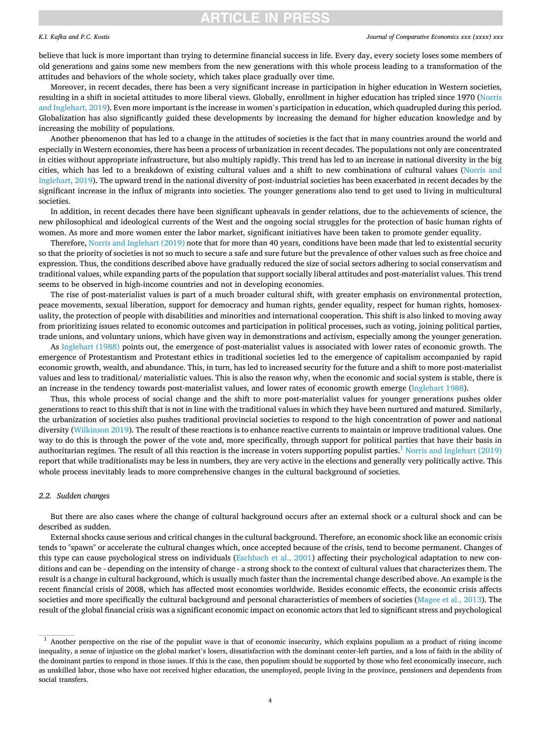# *K.I. Kafka and P.C. Kostis*

### *Journal of Comparative Economics xxx (xxxx) xxx*

believe that luck is more important than trying to determine financial success in life. Every day, every society loses some members of old generations and gains some new members from the new generations with this whole process leading to a transformation of the attitudes and behaviors of the whole society, which takes place gradually over time.

Moreover, in recent decades, there has been a very significant increase in participation in higher education in Western societies, resulting in a shift in societal attitudes to more liberal views. Globally, enrollment in higher education has tripled since 1970 [\(Norris](#page-15-0) [and Inglehart, 2019\)](#page-15-0). Even more important is the increase in women's participation in education, which quadrupled during this period. Globalization has also significantly guided these developments by increasing the demand for higher education knowledge and by increasing the mobility of populations.

Another phenomenon that has led to a change in the attitudes of societies is the fact that in many countries around the world and especially in Western economies, there has been a process of urbanization in recent decades. The populations not only are concentrated in cities without appropriate infrastructure, but also multiply rapidly. This trend has led to an increase in national diversity in the big cities, which has led to a breakdown of existing cultural values and a shift to new combinations of cultural values ([Norris and](#page-15-0) [Inglehart, 2019](#page-15-0)). The upward trend in the national diversity of post-industrial societies has been exacerbated in recent decades by the significant increase in the influx of migrants into societies. The younger generations also tend to get used to living in multicultural societies.

In addition, in recent decades there have been significant upheavals in gender relations, due to the achievements of science, the new philosophical and ideological currents of the West and the ongoing social struggles for the protection of basic human rights of women. As more and more women enter the labor market, significant initiatives have been taken to promote gender equality.

Therefore, [Norris and Inglehart \(2019\)](#page-15-0) note that for more than 40 years, conditions have been made that led to existential security so that the priority of societies is not so much to secure a safe and sure future but the prevalence of other values such as free choice and expression. Thus, the conditions described above have gradually reduced the size of social sectors adhering to social conservatism and traditional values, while expanding parts of the population that support socially liberal attitudes and post-materialist values. This trend seems to be observed in high-income countries and not in developing economies.

The rise of post-materialist values is part of a much broader cultural shift, with greater emphasis on environmental protection, peace movements, sexual liberation, support for democracy and human rights, gender equality, respect for human rights, homosexuality, the protection of people with disabilities and minorities and international cooperation. This shift is also linked to moving away from prioritizing issues related to economic outcomes and participation in political processes, such as voting, joining political parties, trade unions, and voluntary unions, which have given way in demonstrations and activism, especially among the younger generation.

As [Inglehart \(1988\)](#page-15-0) points out, the emergence of post-materialist values is associated with lower rates of economic growth. The emergence of Protestantism and Protestant ethics in traditional societies led to the emergence of capitalism accompanied by rapid economic growth, wealth, and abundance. This, in turn, has led to increased security for the future and a shift to more post-materialist values and less to traditional/ materialistic values. This is also the reason why, when the economic and social system is stable, there is an increase in the tendency towards post-materialist values, and lower rates of economic growth emerge [\(Inglehart 1988\)](#page-15-0).

Thus, this whole process of social change and the shift to more post-materialist values for younger generations pushes older generations to react to this shift that is not in line with the traditional values in which they have been nurtured and matured. Similarly, the urbanization of societies also pushes traditional provincial societies to respond to the high concentration of power and national diversity [\(Wilkinson 2019\)](#page-16-0). The result of these reactions is to enhance reactive currents to maintain or improve traditional values. One way to do this is through the power of the vote and, more specifically, through support for political parties that have their basis in authoritarian regimes. The result of all this reaction is the increase in voters supporting populist parties.<sup>1</sup> [Norris and Inglehart \(2019\)](#page-15-0) report that while traditionalists may be less in numbers, they are very active in the elections and generally very politically active. This whole process inevitably leads to more comprehensive changes in the cultural background of societies.

# *2.2. Sudden changes*

But there are also cases where the change of cultural background occurs after an external shock or a cultural shock and can be described as sudden.

External shocks cause serious and critical changes in the cultural background. Therefore, an economic shock like an economic crisis tends to "spawn" or accelerate the cultural changes which, once accepted because of the crisis, tend to become permanent. Changes of this type can cause psychological stress on individuals ([Eschbach et al., 2001](#page-14-0)) affecting their psychological adaptation to new conditions and can be - depending on the intensity of change - a strong shock to the context of cultural values that characterizes them. The result is a change in cultural background, which is usually much faster than the incremental change described above. An example is the recent financial crisis of 2008, which has affected most economies worldwide. Besides economic effects, the economic crisis affects societies and more specifically the cultural background and personal characteristics of members of societies [\(Magee et al., 2013\)](#page-15-0). The result of the global financial crisis was a significant economic impact on economic actors that led to significant stress and psychological

<sup>&</sup>lt;sup>1</sup> Another perspective on the rise of the populist wave is that of economic insecurity, which explains populism as a product of rising income inequality, a sense of injustice on the global market's losers, dissatisfaction with the dominant center-left parties, and a loss of faith in the ability of the dominant parties to respond in those issues. If this is the case, then populism should be supported by those who feel economically insecure, such as unskilled labor, those who have not received higher education, the unemployed, people living in the province, pensioners and dependents from social transfers.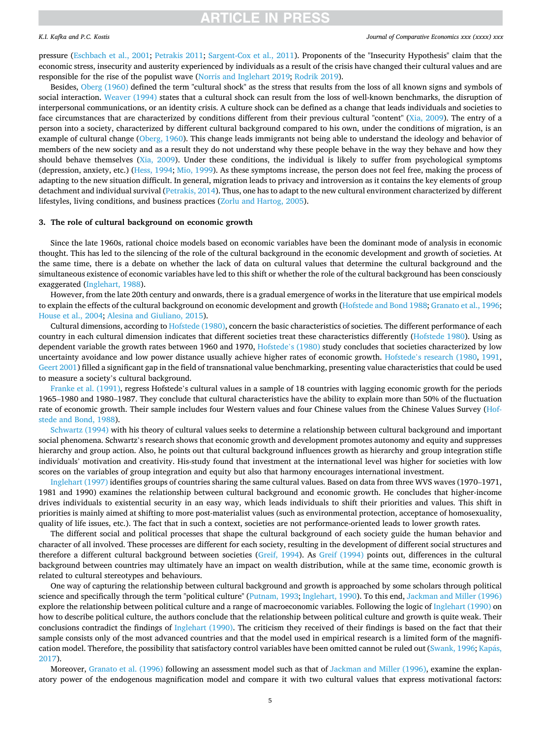# <span id="page-4-0"></span>*K.I. Kafka and P.C. Kostis*

pressure [\(Eschbach et al., 2001;](#page-14-0) [Petrakis 2011;](#page-15-0) [Sargent-Cox et al., 2011](#page-15-0)). Proponents of the "Insecurity Hypothesis" claim that the economic stress, insecurity and austerity experienced by individuals as a result of the crisis have changed their cultural values and are responsible for the rise of the populist wave ([Norris and Inglehart 2019;](#page-15-0) [Rodrik 2019\)](#page-15-0).

Besides, [Oberg \(1960\)](#page-15-0) defined the term "cultural shock" as the stress that results from the loss of all known signs and symbols of social interaction. [Weaver \(1994\)](#page-15-0) states that a cultural shock can result from the loss of well-known benchmarks, the disruption of interpersonal communications, or an identity crisis. A culture shock can be defined as a change that leads individuals and societies to face circumstances that are characterized by conditions different from their previous cultural "content" [\(Xia, 2009](#page-16-0)). The entry of a person into a society, characterized by different cultural background compared to his own, under the conditions of migration, is an example of cultural change [\(Oberg, 1960](#page-15-0)). This change leads immigrants not being able to understand the ideology and behavior of members of the new society and as a result they do not understand why these people behave in the way they behave and how they should behave themselves ([Xia, 2009](#page-16-0)). Under these conditions, the individual is likely to suffer from psychological symptoms (depression, anxiety, etc.) [\(Hess, 1994; Mio, 1999](#page-15-0)). As these symptoms increase, the person does not feel free, making the process of adapting to the new situation difficult. In general, migration leads to privacy and introversion as it contains the key elements of group detachment and individual survival ([Petrakis, 2014\)](#page-15-0). Thus, one has to adapt to the new cultural environment characterized by different lifestyles, living conditions, and business practices ([Zorlu and Hartog, 2005\)](#page-16-0).

### **3. The role of cultural background on economic growth**

Since the late 1960s, rational choice models based on economic variables have been the dominant mode of analysis in economic thought. This has led to the silencing of the role of the cultural background in the economic development and growth of societies. At the same time, there is a debate on whether the lack of data on cultural values that determine the cultural background and the simultaneous existence of economic variables have led to this shift or whether the role of the cultural background has been consciously exaggerated ([Inglehart, 1988\)](#page-15-0).

However, from the late 20th century and onwards, there is a gradual emergence of works in the literature that use empirical models to explain the effects of the cultural background on economic development and growth ([Hofstede and Bond 1988](#page-15-0); [Granato et al., 1996](#page-14-0); [House et al., 2004](#page-15-0); [Alesina and Giuliano, 2015](#page-14-0)).

Cultural dimensions, according to [Hofstede \(1980\),](#page-15-0) concern the basic characteristics of societies. The different performance of each country in each cultural dimension indicates that different societies treat these characteristics differently [\(Hofstede 1980\)](#page-15-0). Using as dependent variable the growth rates between 1960 and 1970, [Hofstede](#page-15-0)'s (1980) study concludes that societies characterized by low uncertainty avoidance and low power distance usually achieve higher rates of economic growth. Hofstede'[s research \(1980](#page-15-0), [1991](#page-15-0), [Geert 2001\)](#page-15-0) filled a significant gap in the field of transnational value benchmarking, presenting value characteristics that could be used to measure a society's cultural background.

[Franke et al. \(1991\)](#page-14-0), regress Hofstede's cultural values in a sample of 18 countries with lagging economic growth for the periods 1965–1980 and 1980–1987. They conclude that cultural characteristics have the ability to explain more than 50% of the fluctuation rate of economic growth. Their sample includes four Western values and four Chinese values from the Chinese Values Survey ([Hof](#page-15-0)[stede and Bond, 1988\)](#page-15-0).

[Schwartz \(1994\)](#page-15-0) with his theory of cultural values seeks to determine a relationship between cultural background and important social phenomena. Schwartz's research shows that economic growth and development promotes autonomy and equity and suppresses hierarchy and group action. Also, he points out that cultural background influences growth as hierarchy and group integration stifle individuals' motivation and creativity. His-study found that investment at the international level was higher for societies with low scores on the variables of group integration and equity but also that harmony encourages international investment.

[Inglehart \(1997\)](#page-15-0) identifies groups of countries sharing the same cultural values. Based on data from three WVS waves (1970–1971, 1981 and 1990) examines the relationship between cultural background and economic growth. He concludes that higher-income drives individuals to existential security in an easy way, which leads individuals to shift their priorities and values. This shift in priorities is mainly aimed at shifting to more post-materialist values (such as environmental protection, acceptance of homosexuality, quality of life issues, etc.). The fact that in such a context, societies are not performance-oriented leads to lower growth rates.

The different social and political processes that shape the cultural background of each society guide the human behavior and character of all involved. These processes are different for each society, resulting in the development of different social structures and therefore a different cultural background between societies ([Greif, 1994](#page-14-0)). As [Greif \(1994\)](#page-14-0) points out, differences in the cultural background between countries may ultimately have an impact on wealth distribution, while at the same time, economic growth is related to cultural stereotypes and behaviours.

One way of capturing the relationship between cultural background and growth is approached by some scholars through political science and specifically through the term "political culture" [\(Putnam, 1993](#page-15-0); [Inglehart, 1990](#page-15-0)). To this end, [Jackman and Miller \(1996\)](#page-15-0) explore the relationship between political culture and a range of macroeconomic variables. Following the logic of [Inglehart \(1990\)](#page-15-0) on how to describe political culture, the authors conclude that the relationship between political culture and growth is quite weak. Their conclusions contradict the findings of [Inglehart \(1990\)](#page-15-0). The criticism they received of their findings is based on the fact that their sample consists only of the most advanced countries and that the model used in empirical research is a limited form of the magnification model. Therefore, the possibility that satisfactory control variables have been omitted cannot be ruled out [\(Swank, 1996](#page-15-0); [Kapas,](#page-15-0) ´ [2017\)](#page-15-0).

Moreover, [Granato et al. \(1996\)](#page-14-0) following an assessment model such as that of [Jackman and Miller \(1996\)](#page-15-0), examine the explanatory power of the endogenous magnification model and compare it with two cultural values that express motivational factors: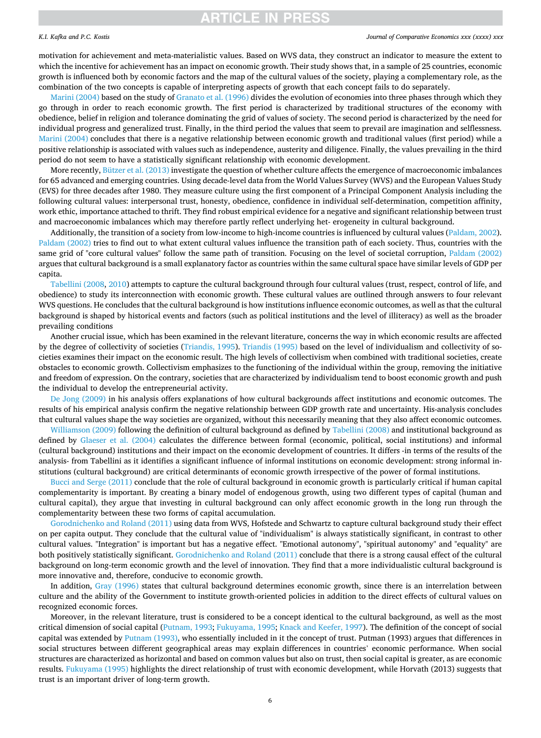# *K.I. Kafka and P.C. Kostis*

#### *Journal of Comparative Economics xxx (xxxx) xxx*

motivation for achievement and meta-materialistic values. Based on WVS data, they construct an indicator to measure the extent to which the incentive for achievement has an impact on economic growth. Their study shows that, in a sample of 25 countries, economic growth is influenced both by economic factors and the map of the cultural values of the society, playing a complementary role, as the combination of the two concepts is capable of interpreting aspects of growth that each concept fails to do separately.

[Marini \(2004\)](#page-15-0) based on the study of [Granato et al. \(1996\)](#page-14-0) divides the evolution of economies into three phases through which they go through in order to reach economic growth. The first period is characterized by traditional structures of the economy with obedience, belief in religion and tolerance dominating the grid of values of society. The second period is characterized by the need for individual progress and generalized trust. Finally, in the third period the values that seem to prevail are imagination and selflessness. [Marini \(2004\)](#page-15-0) concludes that there is a negative relationship between economic growth and traditional values (first period) while a positive relationship is associated with values such as independence, austerity and diligence. Finally, the values prevailing in the third period do not seem to have a statistically significant relationship with economic development.

More recently, [Bützer et al. \(2013\)](#page-14-0) investigate the question of whether culture affects the emergence of macroeconomic imbalances for 65 advanced and emerging countries. Using decade-level data from the World Values Survey (WVS) and the European Values Study (EVS) for three decades after 1980. They measure culture using the first component of a Principal Component Analysis including the following cultural values: interpersonal trust, honesty, obedience, confidence in individual self-determination, competition affinity, work ethic, importance attached to thrift. They find robust empirical evidence for a negative and significant relationship between trust and macroeconomic imbalances which may therefore partly reflect underlying het- erogeneity in cultural background.

Additionally, the transition of a society from low-income to high-income countries is influenced by cultural values ([Paldam, 2002](#page-15-0)). [Paldam \(2002\)](#page-15-0) tries to find out to what extent cultural values influence the transition path of each society. Thus, countries with the same grid of "core cultural values" follow the same path of transition. Focusing on the level of societal corruption, [Paldam \(2002\)](#page-15-0) argues that cultural background is a small explanatory factor as countries within the same cultural space have similar levels of GDP per capita.

[Tabellini \(2008](#page-15-0), [2010](#page-15-0)) attempts to capture the cultural background through four cultural values (trust, respect, control of life, and obedience) to study its interconnection with economic growth. These cultural values are outlined through answers to four relevant WVS questions. He concludes that the cultural background is how institutions influence economic outcomes, as well as that the cultural background is shaped by historical events and factors (such as political institutions and the level of illiteracy) as well as the broader prevailing conditions

Another crucial issue, which has been examined in the relevant literature, concerns the way in which economic results are affected by the degree of collectivity of societies [\(Triandis, 1995\)](#page-15-0). [Triandis \(1995\)](#page-15-0) based on the level of individualism and collectivity of societies examines their impact on the economic result. The high levels of collectivism when combined with traditional societies, create obstacles to economic growth. Collectivism emphasizes to the functioning of the individual within the group, removing the initiative and freedom of expression. On the contrary, societies that are characterized by individualism tend to boost economic growth and push the individual to develop the entrepreneurial activity.

[De Jong \(2009\)](#page-14-0) in his analysis offers explanations of how cultural backgrounds affect institutions and economic outcomes. The results of his empirical analysis confirm the negative relationship between GDP growth rate and uncertainty. His-analysis concludes that cultural values shape the way societies are organized, without this necessarily meaning that they also affect economic outcomes.

[Williamson \(2009\)](#page-16-0) following the definition of cultural background as defined by [Tabellini \(2008\)](#page-15-0) and institutional background as defined by [Glaeser et al. \(2004\)](#page-14-0) calculates the difference between formal (economic, political, social institutions) and informal (cultural background) institutions and their impact on the economic development of countries. It differs -in terms of the results of the analysis- from Tabellini as it identifies a significant influence of informal institutions on economic development: strong informal institutions (cultural background) are critical determinants of economic growth irrespective of the power of formal institutions.

[Bucci and Serge \(2011\)](#page-14-0) conclude that the role of cultural background in economic growth is particularly critical if human capital complementarity is important. By creating a binary model of endogenous growth, using two different types of capital (human and cultural capital), they argue that investing in cultural background can only affect economic growth in the long run through the complementarity between these two forms of capital accumulation.

[Gorodnichenko and Roland \(2011\)](#page-14-0) using data from WVS, Hofstede and Schwartz to capture cultural background study their effect on per capita output. They conclude that the cultural value of "individualism" is always statistically significant, in contrast to other cultural values. "Integration" is important but has a negative effect. "Emotional autonomy", "spiritual autonomy" and "equality" are both positively statistically significant. [Gorodnichenko and Roland \(2011\)](#page-14-0) conclude that there is a strong causal effect of the cultural background on long-term economic growth and the level of innovation. They find that a more individualistic cultural background is more innovative and, therefore, conducive to economic growth.

In addition, [Gray \(1996\)](#page-14-0) states that cultural background determines economic growth, since there is an interrelation between culture and the ability of the Government to institute growth-oriented policies in addition to the direct effects of cultural values on recognized economic forces.

Moreover, in the relevant literature, trust is considered to be a concept identical to the cultural background, as well as the most critical dimension of social capital [\(Putnam, 1993;](#page-15-0) [Fukuyama, 1995](#page-14-0); [Knack and Keefer, 1997](#page-15-0)). The definition of the concept of social capital was extended by [Putnam \(1993\),](#page-15-0) who essentially included in it the concept of trust. Putman (1993) argues that differences in social structures between different geographical areas may explain differences in countries' economic performance. When social structures are characterized as horizontal and based on common values but also on trust, then social capital is greater, as are economic results. [Fukuyama \(1995\)](#page-14-0) highlights the direct relationship of trust with economic development, while Horvath (2013) suggests that trust is an important driver of long-term growth.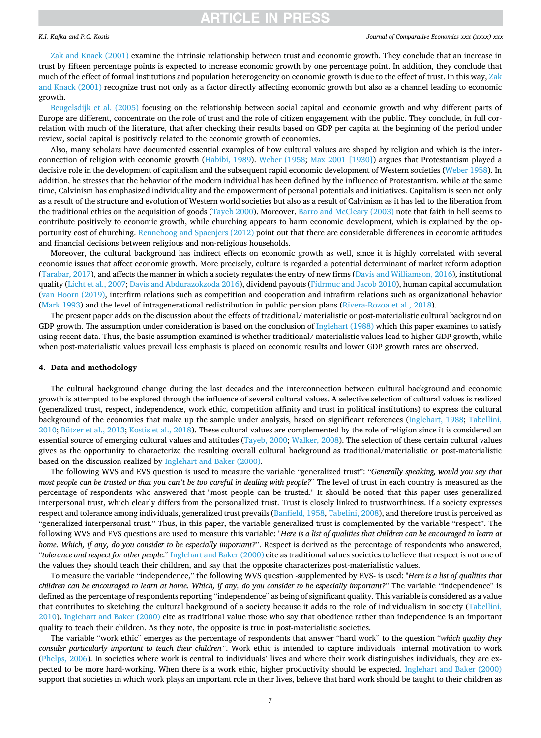## <span id="page-6-0"></span>*K.I. Kafka and P.C. Kostis*

#### *Journal of Comparative Economics xxx (xxxx) xxx*

[Zak and Knack \(2001\)](#page-16-0) examine the intrinsic relationship between trust and economic growth. They conclude that an increase in trust by fifteen percentage points is expected to increase economic growth by one percentage point. In addition, they conclude that much of the effect of formal institutions and population heterogeneity on economic growth is due to the effect of trust. In this way, [Zak](#page-16-0) [and Knack \(2001\)](#page-16-0) recognize trust not only as a factor directly affecting economic growth but also as a channel leading to economic growth.

[Beugelsdijk et al. \(2005\)](#page-14-0) focusing on the relationship between social capital and economic growth and why different parts of Europe are different, concentrate on the role of trust and the role of citizen engagement with the public. They conclude, in full correlation with much of the literature, that after checking their results based on GDP per capita at the beginning of the period under review, social capital is positively related to the economic growth of economies.

Also, many scholars have documented essential examples of how cultural values are shaped by religion and which is the interconnection of religion with economic growth [\(Habibi, 1989\)](#page-14-0). [Weber \(1958](#page-16-0); [Max 2001 \[1930\]\)](#page-16-0) argues that Protestantism played a decisive role in the development of capitalism and the subsequent rapid economic development of Western societies [\(Weber 1958\)](#page-16-0). In addition, he stresses that the behavior of the modern individual has been defined by the influence of Protestantism, while at the same time, Calvinism has emphasized individuality and the empowerment of personal potentials and initiatives. Capitalism is seen not only as a result of the structure and evolution of Western world societies but also as a result of Calvinism as it has led to the liberation from the traditional ethics on the acquisition of goods ([Tayeb 2000](#page-15-0)). Moreover, [Barro and McCleary \(2003\)](#page-14-0) note that faith in hell seems to contribute positively to economic growth, while churching appears to harm economic development, which is explained by the opportunity cost of churching. [Renneboog and Spaenjers \(2012\)](#page-15-0) point out that there are considerable differences in economic attitudes and financial decisions between religious and non-religious households.

Moreover, the cultural background has indirect effects on economic growth as well, since it is highly correlated with several economic issues that affect economic growth. More precisely, culture is regarded a potential determinant of market reform adoption [\(Tarabar, 2017\)](#page-15-0), and affects the manner in which a society regulates the entry of new firms ([Davis and Williamson, 2016](#page-14-0)), institutional quality [\(Licht et al., 2007;](#page-15-0) [Davis and Abdurazokzoda 2016](#page-14-0)), dividend payouts ([Fidrmuc and Jacob 2010\)](#page-14-0), human capital accumulation [\(van Hoorn \(2019\),](#page-15-0) interfirm relations such as competition and cooperation and intrafirm relations such as organizational behavior [\(Mark 1993\)](#page-15-0) and the level of intragenerational redistribution in public pension plans ([Rivera-Rozoa et al., 2018\)](#page-15-0).

The present paper adds on the discussion about the effects of traditional/ materialistic or post-materialistic cultural background on GDP growth. The assumption under consideration is based on the conclusion of [Inglehart \(1988\)](#page-15-0) which this paper examines to satisfy using recent data. Thus, the basic assumption examined is whether traditional/ materialistic values lead to higher GDP growth, while when post-materialistic values prevail less emphasis is placed on economic results and lower GDP growth rates are observed.

### **4. Data and methodology**

The cultural background change during the last decades and the interconnection between cultural background and economic growth is attempted to be explored through the influence of several cultural values. A selective selection of cultural values is realized (generalized trust, respect, independence, work ethic, competition affinity and trust in political institutions) to express the cultural background of the economies that make up the sample under analysis, based on significant references ([Inglehart, 1988;](#page-15-0) [Tabellini,](#page-15-0) [2010;](#page-15-0) [Bützer et al., 2013;](#page-14-0) [Kostis et al., 2018\)](#page-15-0). These cultural values are complemented by the role of religion since it is considered an essential source of emerging cultural values and attitudes ([Tayeb, 2000](#page-15-0); [Walker, 2008](#page-15-0)). The selection of these certain cultural values gives as the opportunity to characterize the resulting overall cultural background as traditional/materialistic or post-materialistic based on the discussion realized by [Inglehart and Baker \(2000\)](#page-15-0).

The following WVS and EVS question is used to measure the variable "generalized trust": "*Generally speaking, would you say that most people can be trusted or that you can't be too careful in dealing with people?*" The level of trust in each country is measured as the percentage of respondents who answered that "most people can be trusted." It should be noted that this paper uses generalized interpersonal trust, which clearly differs from the personalized trust. Trust is closely linked to trustworthiness. If a society expresses respect and tolerance among individuals, generalized trust prevails ([Banfield, 1958,](#page-14-0) [Tabelini, 2008](#page-15-0)), and therefore trust is perceived as "generalized interpersonal trust." Thus, in this paper, the variable generalized trust is complemented by the variable "respect". The following WVS and EVS questions are used to measure this variable: "*Here is a list of qualities that children can be encouraged to learn at home. Which, if any, do you consider to be especially important?*". Respect is derived as the percentage of respondents who answered, "*tolerance and respect for other people*." [Inglehart and Baker \(2000\)](#page-15-0) cite as traditional values societies to believe that respect is not one of the values they should teach their children, and say that the opposite characterizes post-materialistic values.

To measure the variable "independence," the following WVS question -supplemented by EVS- is used: "*Here is a list of qualities that children can be encouraged to learn at home. Which, if any, do you consider to be especially important?*" The variable "independence" is defined as the percentage of respondents reporting "independence" as being of significant quality. This variable is considered as a value that contributes to sketching the cultural background of a society because it adds to the role of individualism in society ([Tabellini,](#page-15-0) [2010\)](#page-15-0). [Inglehart and Baker \(2000\)](#page-15-0) cite as traditional value those who say that obedience rather than independence is an important quality to teach their children. As they note, the opposite is true in post-materialistic societies.

The variable "work ethic" emerges as the percentage of respondents that answer "hard work" to the question "*which quality they consider particularly important to teach their children"*. Work ethic is intended to capture individuals' internal motivation to work [\(Phelps, 2006\)](#page-15-0). In societies where work is central to individuals' lives and where their work distinguishes individuals, they are expected to be more hard-working. When there is a work ethic, higher productivity should be expected. [Inglehart and Baker \(2000\)](#page-15-0) support that societies in which work plays an important role in their lives, believe that hard work should be taught to their children as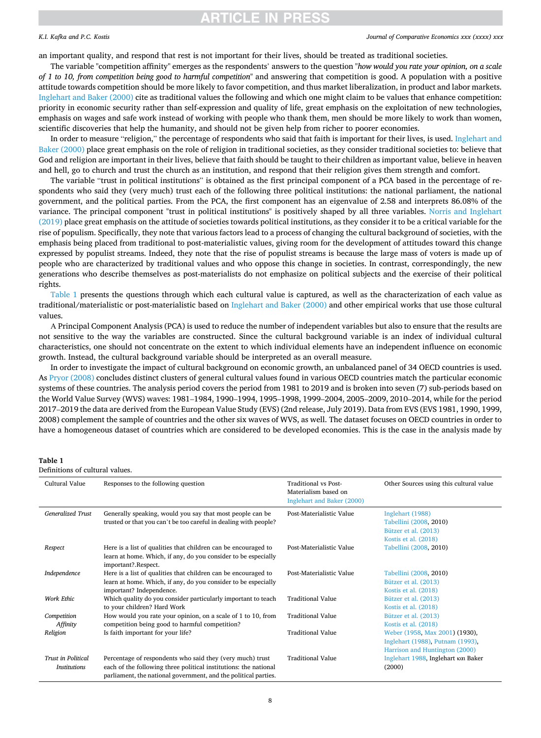# NCLE IN PRES

# *K.I. Kafka and P.C. Kostis*

*Journal of Comparative Economics xxx (xxxx) xxx*

an important quality, and respond that rest is not important for their lives, should be treated as traditional societies.

The variable "competition affinity" emerges as the respondents' answers to the question "*how would you rate your opinion, on a scale of 1 to 10, from competition being good to harmful competition*" and answering that competition is good. A population with a positive attitude towards competition should be more likely to favor competition, and thus market liberalization, in product and labor markets. [Inglehart and Baker \(2000\)](#page-15-0) cite as traditional values the following and which one might claim to be values that enhance competition: priority in economic security rather than self-expression and quality of life, great emphasis on the exploitation of new technologies, emphasis on wages and safe work instead of working with people who thank them, men should be more likely to work than women, scientific discoveries that help the humanity, and should not be given help from richer to poorer economies.

In order to measure "religion," the percentage of respondents who said that faith is important for their lives, is used. [Inglehart and](#page-15-0) [Baker \(2000\)](#page-15-0) place great emphasis on the role of religion in traditional societies, as they consider traditional societies to: believe that God and religion are important in their lives, believe that faith should be taught to their children as important value, believe in heaven and hell, go to church and trust the church as an institution, and respond that their religion gives them strength and comfort.

The variable "trust in political institutions" is obtained as the first principal component of a PCA based in the percentage of respondents who said they (very much) trust each of the following three political institutions: the national parliament, the national government, and the political parties. From the PCA, the first component has an eigenvalue of 2.58 and interprets 86.08% of the variance. The principal component "trust in political institutions" is positively shaped by all three variables. [Norris and Inglehart](#page-15-0) [\(2019\)](#page-15-0) place great emphasis on the attitude of societies towards political institutions, as they consider it to be a critical variable for the rise of populism. Specifically, they note that various factors lead to a process of changing the cultural background of societies, with the emphasis being placed from traditional to post-materialistic values, giving room for the development of attitudes toward this change expressed by populist streams. Indeed, they note that the rise of populist streams is because the large mass of voters is made up of people who are characterized by traditional values and who oppose this change in societies. In contrast, correspondingly, the new generations who describe themselves as post-materialists do not emphasize on political subjects and the exercise of their political rights.

Table 1 presents the questions through which each cultural value is captured, as well as the characterization of each value as traditional/materialistic or post-materialistic based on [Inglehart and Baker \(2000\)](#page-15-0) and other empirical works that use those cultural values.

А Principal Component Analysis (PCA) is used to reduce the number of independent variables but also to ensure that the results are not sensitive to the way the variables are constructed. Since the cultural background variable is an index of individual cultural characteristics, one should not concentrate on the extent to which individual elements have an independent influence on economic growth. Instead, the cultural background variable should be interpreted as an overall measure.

In order to investigate the impact of cultural background on economic growth, an unbalanced panel of 34 OECD countries is used. As [Pryor \(2008\)](#page-15-0) concludes distinct clusters of general cultural values found in various OECD countries match the particular economic systems of these countries. The analysis period covers the period from 1981 to 2019 and is broken into seven (7) sub-periods based on the World Value Survey (WVS) waves: 1981–1984, 1990–1994, 1995–1998, 1999–2004, 2005–2009, 2010–2014, while for the period 2017–2019 the data are derived from the European Value Study (EVS) (2nd release, July 2019). Data from EVS (EVS 1981, 1990, 1999, 2008) complement the sample of countries and the other six waves of WVS, as well. The dataset focuses on OECD countries in order to have a homogeneous dataset of countries which are considered to be developed economies. This is the case in the analysis made by

# **Table 1**

Definitions of cultural values.

| Cultural Value            | Responses to the following question                              | Traditional vs Post-<br>Materialism based on | Other Sources using this cultural value |
|---------------------------|------------------------------------------------------------------|----------------------------------------------|-----------------------------------------|
|                           |                                                                  |                                              |                                         |
|                           |                                                                  | Inglehart and Baker (2000)                   |                                         |
| Generalized Trust         | Generally speaking, would you say that most people can be        | Post-Materialistic Value                     | Inglehart (1988)                        |
|                           | trusted or that you can't be too careful in dealing with people? |                                              | Tabellini (2008, 2010)                  |
|                           |                                                                  |                                              | Bützer et al. (2013)                    |
|                           |                                                                  |                                              | Kostis et al. (2018)                    |
| Respect                   | Here is a list of qualities that children can be encouraged to   | Post-Materialistic Value                     | Tabellini (2008, 2010)                  |
|                           | learn at home. Which, if any, do you consider to be especially   |                                              |                                         |
|                           | important?.Respect.                                              |                                              |                                         |
| Independence              | Here is a list of qualities that children can be encouraged to   | Post-Materialistic Value                     | Tabellini (2008, 2010)                  |
|                           | learn at home. Which, if any, do you consider to be especially   |                                              | Bützer et al. (2013)                    |
|                           | important? Independence.                                         |                                              | Kostis et al. (2018)                    |
| Work Ethic                | Which quality do you consider particularly important to teach    | <b>Traditional Value</b>                     | Bützer et al. (2013)                    |
|                           | to your children? Hard Work                                      |                                              | Kostis et al. (2018)                    |
| Competition               | How would you rate your opinion, on a scale of 1 to 10, from     | Traditional Value                            | Bützer et al. (2013)                    |
| Affinity                  | competition being good to harmful competition?                   |                                              | Kostis et al. (2018)                    |
| Religion                  | Is faith important for your life?                                | Traditional Value                            | Weber (1958, Max 2001) (1930),          |
|                           |                                                                  |                                              | Inglehart (1988), Putnam (1993),        |
|                           |                                                                  |                                              | Harrison and Huntington (2000)          |
| <b>Trust in Political</b> | Percentage of respondents who said they (very much) trust        | <b>Traditional Value</b>                     | Inglehart 1988, Inglehart και Baker     |
| <b>Institutions</b>       | each of the following three political institutions: the national |                                              | (2000)                                  |
|                           | parliament, the national government, and the political parties.  |                                              |                                         |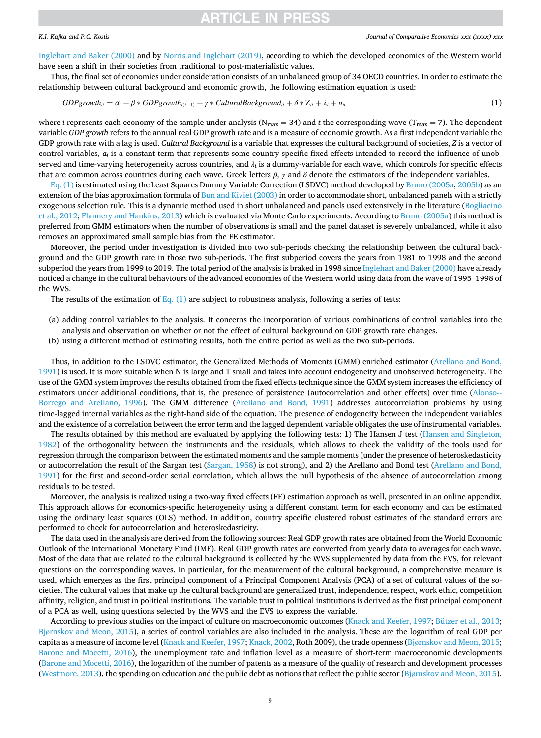# <span id="page-8-0"></span>*K.I. Kafka and P.C. Kostis*

#### *Journal of Comparative Economics xxx (xxxx) xxx*

[Inglehart and Baker \(2000\)](#page-15-0) and by [Norris and Inglehart \(2019\)](#page-15-0), according to which the developed economies of the Western world have seen a shift in their societies from traditional to post-materialistic values.

Thus, the final set of economies under consideration consists of an unbalanced group of 34 OECD countries. In order to estimate the relationship between cultural background and economic growth, the following estimation equation is used:

$$
GDPgrowth_{ii} = \alpha_i + \beta * GDPgrowth_{i(i-1)} + \gamma * CulturalBackground_{ii} + \delta * Z_{ii} + \lambda_i + u_{ii}
$$
\n(1)

where *i* represents each economy of the sample under analysis ( $N_{\text{max}} = 34$ ) and *t* the corresponding wave ( $T_{\text{max}} = 7$ ). The dependent variable *GDP growth* refers to the annual real GDP growth rate and is a measure of economic growth. As a first independent variable the GDP growth rate with a lag is used. *Cultural Background* is a variable that expresses the cultural background of societies, *Z* is a vector of control variables,  $a_i$  is a constant term that represents some country-specific fixed effects intended to record the influence of unobserved and time-varying heterogeneity across countries, and  $\lambda_t$  is a dummy-variable for each wave, which controls for specific effects that are common across countries during each wave. Greek letters *β, γ* and *δ* denote the estimators of the independent variables.

Eq. (1) is estimated using the Least Squares Dummy Variable Correction (LSDVC) method developed by [Bruno \(2005a, 2005b](#page-14-0)) as an extension of the bias approximation formula of [Bun and Kiviet \(2003\)](#page-14-0) in order to accommodate short, unbalanced panels with a strictly exogenous selection rule. This is a dynamic method used in short unbalanced and panels used extensively in the literature [\(Bogliacino](#page-14-0) [et al., 2012](#page-14-0); [Flannery and Hankins, 2013\)](#page-14-0) which is evaluated via Monte Carlo experiments. According to [Bruno \(2005a\)](#page-14-0) this method is preferred from GMM estimators when the number of observations is small and the panel dataset is severely unbalanced, while it also removes an approximated small sample bias from the FE estimator.

Moreover, the period under investigation is divided into two sub-periods checking the relationship between the cultural background and the GDP growth rate in those two sub-periods. The first subperiod covers the years from 1981 to 1998 and the second subperiod the years from 1999 to 2019. The total period of the analysis is braked in 1998 since [Inglehart and Baker \(2000\)](#page-15-0) have already noticed a change in the cultural behaviours of the advanced economies of the Western world using data from the wave of 1995–1998 of the WVS.

The results of the estimation of Eq.  $(1)$  are subject to robustness analysis, following a series of tests:

- (a) adding control variables to the analysis. It concerns the incorporation of various combinations of control variables into the analysis and observation on whether or not the effect of cultural background on GDP growth rate changes.
- (b) using a different method of estimating results, both the entire period as well as the two sub-periods.

Thus, in addition to the LSDVC estimator, the Generalized Methods of Moments (GMM) enriched estimator ([Arellano and Bond,](#page-14-0) [1991\)](#page-14-0) is used. It is more suitable when N is large and T small and takes into account endogeneity and unobserved heterogeneity. The use of the GMM system improves the results obtained from the fixed effects technique since the GMM system increases the efficiency of estimators under additional conditions, that is, the presence of persistence (autocorrelation and other effects) over time [\(Alonso--](#page-14-0) [Borrego and Arellano, 1996](#page-14-0)). The GMM difference [\(Arellano and Bond, 1991](#page-14-0)) addresses autocorrelation problems by using time-lagged internal variables as the right-hand side of the equation. The presence of endogeneity between the independent variables and the existence of a correlation between the error term and the lagged dependent variable obligates the use of instrumental variables.

The results obtained by this method are evaluated by applying the following tests: 1) The Hansen J test ([Hansen and Singleton,](#page-15-0) [1982\)](#page-15-0) of the orthogonality between the instruments and the residuals, which allows to check the validity of the tools used for regression through the comparison between the estimated moments and the sample moments (under the presence of heteroskedasticity or autocorrelation the result of the Sargan test [\(Sargan, 1958\)](#page-15-0) is not strong), and 2) the Arellano and Bond test ([Arellano and Bond,](#page-14-0) [1991\)](#page-14-0) for the first and second-order serial correlation, which allows the null hypothesis of the absence of autocorrelation among residuals to be tested.

Moreover, the analysis is realized using a two-way fixed effects (FE) estimation approach as well, presented in an online appendix. This approach allows for economics-specific heterogeneity using a different constant term for each economy and can be estimated using the ordinary least squares (OLS) method. In addition, country specific clustered robust estimates of the standard errors are performed to check for autocorrelation and heteroskedasticity.

The data used in the analysis are derived from the following sources: Real GDP growth rates are obtained from the World Economic Outlook of the International Monetary Fund (IMF). Real GDP growth rates are converted from yearly data to averages for each wave. Most of the data that are related to the cultural background is collected by the WVS supplemented by data from the EVS, for relevant questions on the corresponding waves. In particular, for the measurement of the cultural background, a comprehensive measure is used, which emerges as the first principal component of a Principal Component Analysis (PCA) of a set of cultural values of the societies. The cultural values that make up the cultural background are generalized trust, independence, respect, work ethic, competition affinity, religion, and trust in political institutions. The variable trust in political institutions is derived as the first principal component of a PCA as well, using questions selected by the WVS and the EVS to express the variable.

According to previous studies on the impact of culture on macroeconomic outcomes ([Knack and Keefer, 1997](#page-15-0); [Bützer et al., 2013](#page-14-0); Bjø[rnskov and Meon, 2015\)](#page-14-0), a series of control variables are also included in the analysis. These are the logarithm of real GDP per capita as a measure of income level ([Knack and Keefer, 1997; Knack, 2002](#page-15-0), Roth 2009), the trade openness (Bjø[rnskov and Meon, 2015](#page-14-0); [Barone and Mocetti, 2016](#page-14-0)), the unemployment rate and inflation level as a measure of short-term macroeconomic developments [\(Barone and Mocetti, 2016](#page-14-0)), the logarithm of the number of patents as a measure of the quality of research and development processes [\(Westmore, 2013](#page-16-0)), the spending on education and the public debt as notions that reflect the public sector (Bjø[rnskov and Meon, 2015](#page-14-0)),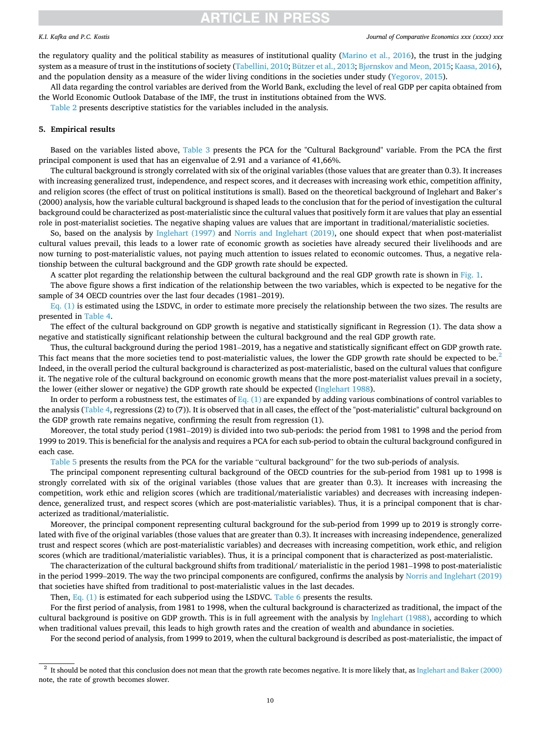# <span id="page-9-0"></span>*K.I. Kafka and P.C. Kostis*

#### *Journal of Comparative Economics xxx (xxxx) xxx*

the regulatory quality and the political stability as measures of institutional quality [\(Marino et al., 2016\)](#page-15-0), the trust in the judging system as a measure of trust in the institutions of society [\(Tabellini, 2010](#page-15-0); [Bützer et al., 2013](#page-14-0); Bjø[rnskov and Meon, 2015;](#page-14-0) [Kaasa, 2016](#page-15-0)), and the population density as a measure of the wider living conditions in the societies under study ([Yegorov, 2015\)](#page-16-0).

All data regarding the control variables are derived from the World Bank, excluding the level of real GDP per capita obtained from the World Economic Outlook Database of the IMF, the trust in institutions obtained from the WVS.

[Table 2](#page-10-0) presents descriptive statistics for the variables included in the analysis.

### **5. Empirical results**

Based on the variables listed above, [Table 3](#page-10-0) presents the PCA for the "Cultural Background" variable. From the PCA the first principal component is used that has an eigenvalue of 2.91 and a variance of 41,66%.

The cultural background is strongly correlated with six of the original variables (those values that are greater than 0.3). It increases with increasing generalized trust, independence, and respect scores, and it decreases with increasing work ethic, competition affinity, and religion scores (the effect of trust on political institutions is small). Based on the theoretical background of Inglehart and Baker's (2000) analysis, how the variable cultural background is shaped leads to the conclusion that for the period of investigation the cultural background could be characterized as post-materialistic since the cultural values that positively form it are values that play an essential role in post-materialist societies. The negative shaping values are values that are important in traditional/materialistic societies.

So, based on the analysis by [Inglehart \(1997\)](#page-15-0) and [Norris and Inglehart \(2019\),](#page-15-0) one should expect that when post-materialist cultural values prevail, this leads to a lower rate of economic growth as societies have already secured their livelihoods and are now turning to post-materialistic values, not paying much attention to issues related to economic outcomes. Thus, a negative relationship between the cultural background and the GDP growth rate should be expected.

A scatter plot regarding the relationship between the cultural background and the real GDP growth rate is shown in [Fig. 1.](#page-10-0)

The above figure shows a first indication of the relationship between the two variables, which is expected to be negative for the sample of 34 OECD countries over the last four decades (1981–2019).

 $Eq. (1)$  is estimated using the LSDVC, in order to estimate more precisely the relationship between the two sizes. The results are presented in [Table 4](#page-11-0).

The effect of the cultural background on GDP growth is negative and statistically significant in Regression (1). The data show a negative and statistically significant relationship between the cultural background and the real GDP growth rate.

Thus, the cultural background during the period 1981–2019, has a negative and statistically significant effect on GDP growth rate. This fact means that the more societies tend to post-materialistic values, the lower the GDP growth rate should be expected to be. $2$ Indeed, in the overall period the cultural background is characterized as post-materialistic, based on the cultural values that configure it. The negative role of the cultural background on economic growth means that the more post-materialist values prevail in a society, the lower (either slower or negative) the GDP growth rate should be expected [\(Inglehart 1988\)](#page-15-0).

In order to perform a robustness test, the estimates of Eq.  $(1)$  are expanded by adding various combinations of control variables to the analysis ([Table 4,](#page-11-0) regressions (2) to (7)). It is observed that in all cases, the effect of the "post-materialistic" cultural background on the GDP growth rate remains negative, confirming the result from regression (1).

Moreover, the total study period (1981–2019) is divided into two sub-periods: the period from 1981 to 1998 and the period from 1999 to 2019. This is beneficial for the analysis and requires a PCA for each sub-period to obtain the cultural background configured in each case.

[Table 5](#page-11-0) presents the results from the PCA for the variable "cultural background" for the two sub-periods of analysis.

The principal component representing cultural background of the OECD countries for the sub-period from 1981 up to 1998 is strongly correlated with six of the original variables (those values that are greater than 0.3). It increases with increasing the competition, work ethic and religion scores (which are traditional/materialistic variables) and decreases with increasing independence, generalized trust, and respect scores (which are post-materialistic variables). Thus, it is a principal component that is characterized as traditional/materialistic.

Moreover, the principal component representing cultural background for the sub-period from 1999 up to 2019 is strongly correlated with five of the original variables (those values that are greater than 0.3). It increases with increasing independence, generalized trust and respect scores (which are post-materialistic variables) and decreases with increasing competition, work ethic, and religion scores (which are traditional/materialistic variables). Thus, it is a principal component that is characterized as post-materialistic.

The characterization of the cultural background shifts from traditional/ materialistic in the period 1981–1998 to post-materialistic in the period 1999–2019. The way the two principal components are configured, confirms the analysis by [Norris and Inglehart \(2019\)](#page-15-0) that societies have shifted from traditional to post-materialistic values in the last decades.

Then, Eq.  $(1)$  is estimated for each subperiod using the LSDVC. [Table 6](#page-11-0) presents the results.

For the first period of analysis, from 1981 to 1998, when the cultural background is characterized as traditional, the impact of the cultural background is positive on GDP growth. This is in full agreement with the analysis by [Inglehart \(1988\)](#page-15-0), according to which when traditional values prevail, this leads to high growth rates and the creation of wealth and abundance in societies.

For the second period of analysis, from 1999 to 2019, when the cultural background is described as post-materialistic, the impact of

<sup>2</sup> It should be noted that this conclusion does not mean that the growth rate becomes negative. It is more likely that, as [Inglehart and Baker \(2000\)](#page-15-0) note, the rate of growth becomes slower.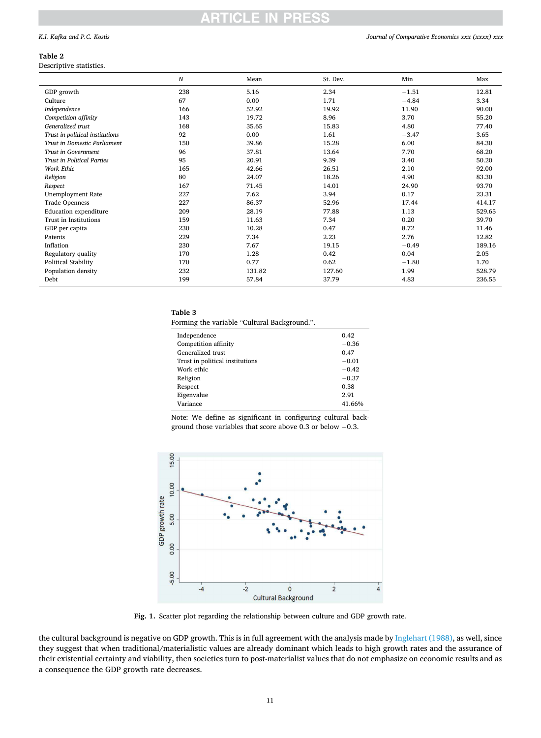# <span id="page-10-0"></span>*K.I. Kafka and P.C. Kostis*

# **Table 2**

Descriptive statistics.

|                                   | N   | Mean   | St. Dev. | Min     | Max    |
|-----------------------------------|-----|--------|----------|---------|--------|
| GDP growth                        | 238 | 5.16   | 2.34     | $-1.51$ | 12.81  |
| Culture                           | 67  | 0.00   | 1.71     | $-4.84$ | 3.34   |
| Independence                      | 166 | 52.92  | 19.92    | 11.90   | 90.00  |
| Competition affinity              | 143 | 19.72  | 8.96     | 3.70    | 55.20  |
| Generalized trust                 | 168 | 35.65  | 15.83    | 4.80    | 77.40  |
| Trust in political institutions   | 92  | 0.00   | 1.61     | $-3.47$ | 3.65   |
| Trust in Domestic Parliament      | 150 | 39.86  | 15.28    | 6.00    | 84.30  |
| Trust in Government               | 96  | 37.81  | 13.64    | 7.70    | 68.20  |
| <b>Trust in Political Parties</b> | 95  | 20.91  | 9.39     | 3.40    | 50.20  |
| Work Ethic                        | 165 | 42.66  | 26.51    | 2.10    | 92.00  |
| Religion                          | 80  | 24.07  | 18.26    | 4.90    | 83.30  |
| Respect                           | 167 | 71.45  | 14.01    | 24.90   | 93.70  |
| <b>Unemployment Rate</b>          | 227 | 7.62   | 3.94     | 0.17    | 23.31  |
| <b>Trade Openness</b>             | 227 | 86.37  | 52.96    | 17.44   | 414.17 |
| Education expenditure             | 209 | 28.19  | 77.88    | 1.13    | 529.65 |
| Trust in Institutions             | 159 | 11.63  | 7.34     | 0.20    | 39.70  |
| GDP per capita                    | 230 | 10.28  | 0.47     | 8.72    | 11.46  |
| Patents                           | 229 | 7.34   | 2.23     | 2.76    | 12.82  |
| Inflation                         | 230 | 7.67   | 19.15    | $-0.49$ | 189.16 |
| Regulatory quality                | 170 | 1.28   | 0.42     | 0.04    | 2.05   |
| <b>Political Stability</b>        | 170 | 0.77   | 0.62     | $-1.80$ | 1.70   |
| Population density                | 232 | 131.82 | 127.60   | 1.99    | 528.79 |
| Debt                              | 199 | 57.84  | 37.79    | 4.83    | 236.55 |

# **Table 3**

Forming the variable "Cultural Background.".

| Independence<br>Competition affinity | 0.42<br>$-0.36$ |
|--------------------------------------|-----------------|
| Generalized trust                    | 0.47            |
| Trust in political institutions      | $-0.01$         |
| Work ethic                           | $-0.42$         |
| Religion                             | $-0.37$         |
| Respect                              | 0.38            |
| Eigenvalue                           | 2.91            |
| Variance                             | 41.66%          |

Note: We define as significant in configuring cultural background those variables that score above 0.3 or below −0.3.



**Fig. 1.** Scatter plot regarding the relationship between culture and GDP growth rate.

the cultural background is negative on GDP growth. This is in full agreement with the analysis made by [Inglehart \(1988\),](#page-15-0) as well, since they suggest that when traditional/materialistic values are already dominant which leads to high growth rates and the assurance of their existential certainty and viability, then societies turn to post-materialist values that do not emphasize on economic results and as a consequence the GDP growth rate decreases.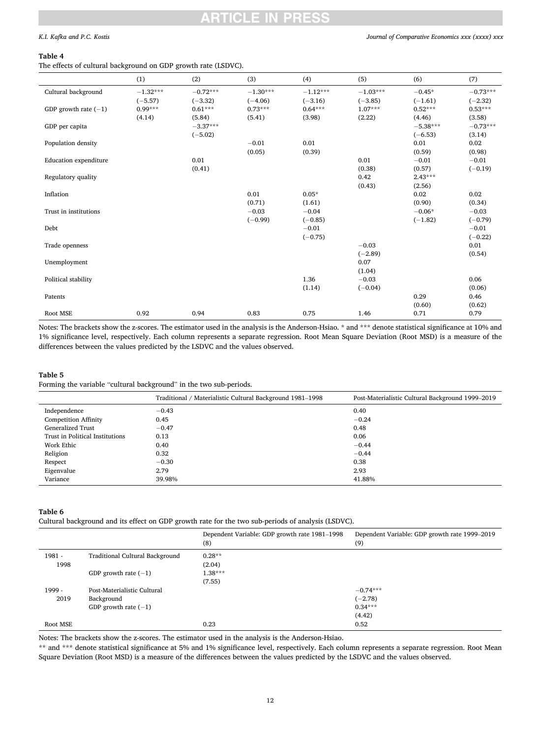# <span id="page-11-0"></span>*K.I. Kafka and P.C. Kostis*

### *Journal of Comparative Economics xxx (xxxx) xxx*

### **Table 4**

The effects of cultural background on GDP growth rate (LSDVC).

|                              | ັ          | ັ          |            |            |            |            |            |
|------------------------------|------------|------------|------------|------------|------------|------------|------------|
|                              | (1)        | (2)        | (3)        | (4)        | (5)        | (6)        | (7)        |
| Cultural background          | $-1.32***$ | $-0.72***$ | $-1.30***$ | $-1.12***$ | $-1.03***$ | $-0.45*$   | $-0.73***$ |
|                              | $(-5.57)$  | $(-3.32)$  | $(-4.06)$  | $(-3.16)$  | $(-3.85)$  | $(-1.61)$  | $(-2.32)$  |
| GDP growth rate $(-1)$       | $0.99***$  | $0.61***$  | $0.73***$  | $0.64***$  | $1.07***$  | $0.52***$  | $0.53***$  |
|                              | (4.14)     | (5.84)     | (5.41)     | (3.98)     | (2.22)     | (4.46)     | (3.58)     |
| GDP per capita               |            | $-3.37***$ |            |            |            | $-5.38***$ | $-0.73***$ |
|                              |            | $(-5.02)$  |            |            |            | $(-6.53)$  | (3.14)     |
| Population density           |            |            | $-0.01$    | 0.01       |            | 0.01       | 0.02       |
|                              |            |            | (0.05)     | (0.39)     |            | (0.59)     | (0.98)     |
| <b>Education</b> expenditure |            | 0.01       |            |            | 0.01       | $-0.01$    | $-0.01$    |
|                              |            | (0.41)     |            |            | (0.38)     | (0.57)     | $(-0.19)$  |
| Regulatory quality           |            |            |            |            | 0.42       | $2.43***$  |            |
|                              |            |            |            |            | (0.43)     | (2.56)     |            |
| Inflation                    |            |            | 0.01       | $0.05*$    |            | 0.02       | 0.02       |
|                              |            |            | (0.71)     | (1.61)     |            | (0.90)     | (0.34)     |
| Trust in institutions        |            |            | $-0.03$    | $-0.04$    |            | $-0.06*$   | $-0.03$    |
|                              |            |            | $(-0.99)$  | $(-0.85)$  |            | $(-1.82)$  | $(-0.79)$  |
| Debt                         |            |            |            | $-0.01$    |            |            | $-0.01$    |
|                              |            |            |            | $(-0.75)$  |            |            | $(-0.22)$  |
| Trade openness               |            |            |            |            | $-0.03$    |            | 0.01       |
|                              |            |            |            |            | $(-2.89)$  |            | (0.54)     |
| Unemployment                 |            |            |            |            | 0.07       |            |            |
|                              |            |            |            |            | (1.04)     |            |            |
| Political stability          |            |            |            | 1.36       | $-0.03$    |            | 0.06       |
|                              |            |            |            | (1.14)     | $(-0.04)$  |            | (0.06)     |
| Patents                      |            |            |            |            |            | 0.29       | 0.46       |
|                              |            |            |            |            |            | (0.60)     | (0.62)     |
| Root MSE                     | 0.92       | 0.94       | 0.83       | 0.75       | 1.46       | 0.71       | 0.79       |

Notes: The brackets show the z-scores. The estimator used in the analysis is the Anderson-Hsiao. \* and \*\*\* denote statistical significance at 10% and 1% significance level, respectively. Each column represents a separate regression. Root Mean Square Deviation (Root MSD) is a measure of the differences between the values predicted by the LSDVC and the values observed.

# **Table 5**

Forming the variable "cultural background" in the two sub-periods.

|                                 | Traditional / Materialistic Cultural Background 1981-1998 | Post-Materialistic Cultural Background 1999–2019 |
|---------------------------------|-----------------------------------------------------------|--------------------------------------------------|
| Independence                    | $-0.43$                                                   | 0.40                                             |
| <b>Competition Affinity</b>     | 0.45                                                      | $-0.24$                                          |
| Generalized Trust               | $-0.47$                                                   | 0.48                                             |
| Trust in Political Institutions | 0.13                                                      | 0.06                                             |
| Work Ethic                      | 0.40                                                      | $-0.44$                                          |
| Religion                        | 0.32                                                      | $-0.44$                                          |
| Respect                         | $-0.30$                                                   | 0.38                                             |
| Eigenvalue                      | 2.79                                                      | 2.93                                             |
| Variance                        | 39.98%                                                    | 41.88%                                           |

# **Table 6**

Cultural background and its effect on GDP growth rate for the two sub-periods of analysis (LSDVC).

|          |                                 | Dependent Variable: GDP growth rate 1981-1998<br>(8) | Dependent Variable: GDP growth rate 1999–2019<br>(9) |
|----------|---------------------------------|------------------------------------------------------|------------------------------------------------------|
| $1981 -$ | Traditional Cultural Background | $0.28**$                                             |                                                      |
| 1998     |                                 | (2.04)                                               |                                                      |
|          | GDP growth rate $(-1)$          | $1.38***$                                            |                                                      |
|          |                                 | (7.55)                                               |                                                      |
| 1999 -   | Post-Materialistic Cultural     |                                                      | $-0.74***$                                           |
| 2019     | Background                      |                                                      | $(-2.78)$                                            |
|          | GDP growth rate $(-1)$          |                                                      | $0.34***$                                            |
|          |                                 |                                                      | (4.42)                                               |
| Root MSE |                                 | 0.23                                                 | 0.52                                                 |

Notes: The brackets show the z-scores. The estimator used in the analysis is the Anderson-Hsiao.

\*\* and \*\*\* denote statistical significance at 5% and 1% significance level, respectively. Each column represents a separate regression. Root Mean Square Deviation (Root MSD) is a measure of the differences between the values predicted by the LSDVC and the values observed.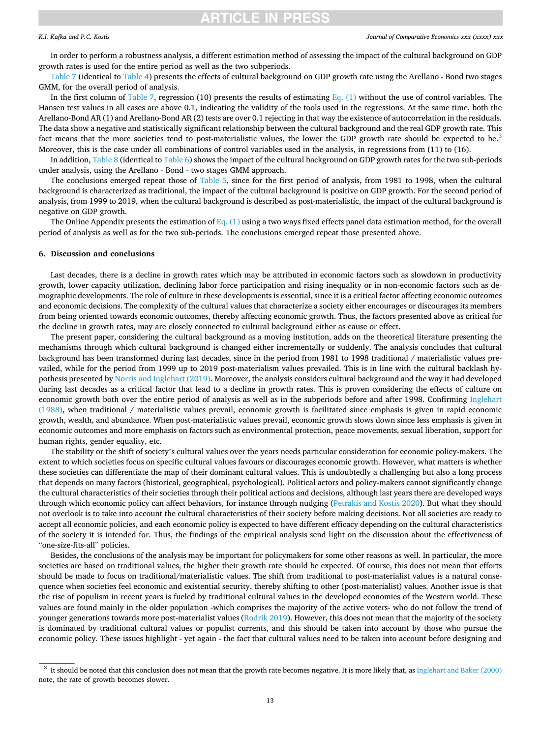### <span id="page-12-0"></span>*K.I. Kafka and P.C. Kostis*

In order to perform a robustness analysis, a different estimation method of assessing the impact of the cultural background on GDP growth rates is used for the entire period as well as the two subperiods.

[Table 7](#page-13-0) (identical to [Table 4\)](#page-11-0) presents the effects of cultural background on GDP growth rate using the Arellano - Bond two stages GMM, for the overall period of analysis.

In the first column of [Table 7](#page-13-0), regression (10) presents the results of estimating Eq.  $(1)$  without the use of control variables. The Hansen test values in all cases are above 0.1, indicating the validity of the tools used in the regressions. At the same time, both the Arellano-Bond AR (1) and Arellano-Bond AR (2) tests are over 0.1 rejecting in that way the existence of autocorrelation in the residuals. The data show a negative and statistically significant relationship between the cultural background and the real GDP growth rate. This fact means that the more societies tend to post-materialistic values, the lower the GDP growth rate should be expected to be.<sup>3</sup> Moreover, this is the case under all combinations of control variables used in the analysis, in regressions from (11) to (16).

In addition, [Table 8](#page-13-0) (identical to [Table 6\)](#page-11-0) shows the impact of the cultural background on GDP growth rates for the two sub-periods under analysis, using the Arellano - Bond - two stages GMM approach.

The conclusions emerged repeat those of [Table 5](#page-11-0), since for the first period of analysis, from 1981 to 1998, when the cultural background is characterized as traditional, the impact of the cultural background is positive on GDP growth. For the second period of analysis, from 1999 to 2019, when the cultural background is described as post-materialistic, the impact of the cultural background is negative on GDP growth.

The Online Appendix presents the estimation of Eq.  $(1)$  using a two ways fixed effects panel data estimation method, for the overall period of analysis as well as for the two sub-periods. The conclusions emerged repeat those presented above.

# **6. Discussion and conclusions**

Last decades, there is a decline in growth rates which may be attributed in economic factors such as slowdown in productivity growth, lower capacity utilization, declining labor force participation and rising inequality or in non-economic factors such as demographic developments. The role of culture in these developments is essential, since it is a critical factor affecting economic outcomes and economic decisions. The complexity of the cultural values that characterize a society either encourages or discourages its members from being oriented towards economic outcomes, thereby affecting economic growth. Thus, the factors presented above as critical for the decline in growth rates, may are closely connected to cultural background either as cause or effect.

The present paper, considering the cultural background as a moving institution, adds on the theoretical literature presenting the mechanisms through which cultural background is changed either incrementally or suddenly. The analysis concludes that cultural background has been transformed during last decades, since in the period from 1981 to 1998 traditional / materialistic values prevailed, while for the period from 1999 up to 2019 post-materialism values prevailed. This is in line with the cultural backlash hypothesis presented by [Norris and Inglehart \(2019\).](#page-15-0) Moreover, the analysis considers cultural background and the way it had developed during last decades as a critical factor that lead to a decline in growth rates. This is proven considering the effects of culture on economic growth both over the entire period of analysis as well as in the subperiods before and after 1998. Confirming [Inglehart](#page-15-0) [\(1988\),](#page-15-0) when traditional / materialistic values prevail, economic growth is facilitated since emphasis is given in rapid economic growth, wealth, and abundance. When post-materialistic values prevail, economic growth slows down since less emphasis is given in economic outcomes and more emphasis on factors such as environmental protection, peace movements, sexual liberation, support for human rights, gender equality, etc.

The stability or the shift of society's cultural values over the years needs particular consideration for economic policy-makers. The extent to which societies focus on specific cultural values favours or discourages economic growth. However, what matters is whether these societies can differentiate the map of their dominant cultural values. This is undoubtedly a challenging but also a long process that depends on many factors (historical, geographical, psychological). Political actors and policy-makers cannot significantly change the cultural characteristics of their societies through their political actions and decisions, although last years there are developed ways through which economic policy can affect behaviors, for instance through nudging ([Petrakis and Kostis 2020\)](#page-15-0). But what they should not overlook is to take into account the cultural characteristics of their society before making decisions. Not all societies are ready to accept all economic policies, and each economic policy is expected to have different efficacy depending on the cultural characteristics of the society it is intended for. Thus, the findings of the empirical analysis send light on the discussion about the effectiveness of "one-size-fits-all" policies.

Besides, the conclusions of the analysis may be important for policymakers for some other reasons as well. In particular, the more societies are based on traditional values, the higher their growth rate should be expected. Of course, this does not mean that efforts should be made to focus on traditional/materialistic values. The shift from traditional to post-materialist values is a natural consequence when societies feel economic and existential security, thereby shifting to other (post-materialist) values. Another issue is that the rise of populism in recent years is fueled by traditional cultural values in the developed economies of the Western world. These values are found mainly in the older population -which comprises the majority of the active voters- who do not follow the trend of younger generations towards more post-materialist values ([Rodrik 2019](#page-15-0)). However, this does not mean that the majority of the society is dominated by traditional cultural values or populist currents, and this should be taken into account by those who pursue the economic policy. These issues highlight - yet again - the fact that cultural values need to be taken into account before designing and

<sup>&</sup>lt;sup>3</sup> It should be noted that this conclusion does not mean that the growth rate becomes negative. It is more likely that, as [Inglehart and Baker \(2000\)](#page-15-0) note, the rate of growth becomes slower.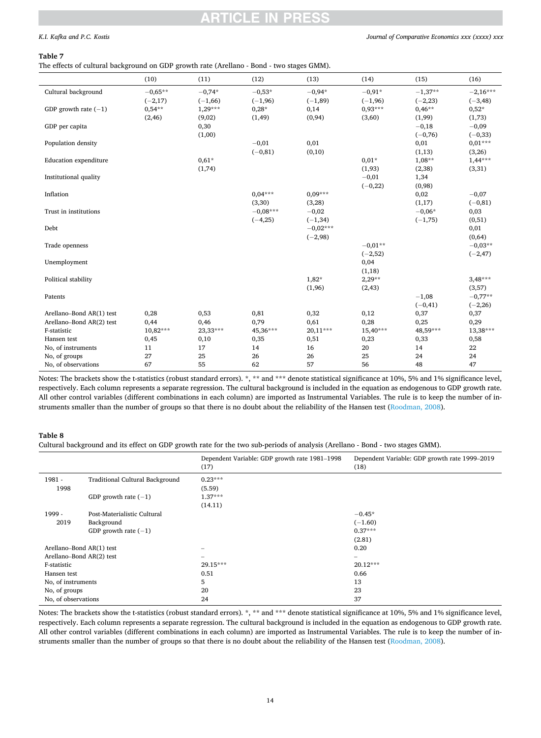# PRES

# <span id="page-13-0"></span>*K.I. Kafka and P.C. Kostis*

# **Table 7**

The effects of cultural background on GDP growth rate (Arellano - Bond - two stages GMM).

|                              | (10)       | (11)      | (12)       | (13)       | (14)      | (15)       | (16)       |
|------------------------------|------------|-----------|------------|------------|-----------|------------|------------|
| Cultural background          | $-0.65**$  | $-0.74*$  | $-0.53*$   | $-0.94*$   | $-0.91*$  | $-1,37**$  | $-2,16***$ |
|                              | $(-2,17)$  | $(-1,66)$ | $(-1,96)$  | $(-1, 89)$ | $(-1,96)$ | $(-2, 23)$ | $(-3, 48)$ |
| GDP growth rate $(-1)$       | $0,54***$  | $1,29***$ | $0,28*$    | 0,14       | $0.93***$ | $0.46**$   | $0,52*$    |
|                              | (2, 46)    | (9,02)    | (1, 49)    | (0, 94)    | (3,60)    | (1,99)     | (1,73)     |
| GDP per capita               |            | 0,30      |            |            |           | $-0,18$    | $-0,09$    |
|                              |            | (1,00)    |            |            |           | $(-0,76)$  | $(-0, 33)$ |
| Population density           |            |           | $-0,01$    | 0,01       |           | 0,01       | $0,01***$  |
|                              |            |           | $(-0, 81)$ | (0,10)     |           | (1,13)     | (3,26)     |
| <b>Education</b> expenditure |            | $0,61*$   |            |            | $0,01*$   | $1,08**$   | $1,44***$  |
|                              |            | (1,74)    |            |            | (1, 93)   | (2, 38)    | (3,31)     |
| Institutional quality        |            |           |            |            | $-0,01$   | 1,34       |            |
|                              |            |           |            |            | $(-0,22)$ | (0,98)     |            |
| Inflation                    |            |           | $0.04***$  | $0.09***$  |           | 0,02       | $-0,07$    |
|                              |            |           | (3, 30)    | (3,28)     |           | (1,17)     | $(-0, 81)$ |
| Trust in institutions        |            |           | $-0.08***$ | $-0,02$    |           | $-0.06*$   | 0,03       |
|                              |            |           | $(-4,25)$  | $(-1, 34)$ |           | $(-1,75)$  | (0,51)     |
| Debt                         |            |           |            | $-0.02***$ |           |            | 0,01       |
|                              |            |           |            | $(-2,98)$  |           |            | (0,64)     |
| Trade openness               |            |           |            |            | $-0.01**$ |            | $-0.03**$  |
|                              |            |           |            |            | $(-2,52)$ |            | $(-2, 47)$ |
| Unemployment                 |            |           |            |            | 0,04      |            |            |
|                              |            |           |            |            | (1, 18)   |            |            |
| Political stability          |            |           |            | $1,82*$    | $2,29**$  |            | $3,48***$  |
|                              |            |           |            | (1,96)     | (2, 43)   |            | (3,57)     |
| Patents                      |            |           |            |            |           | $-1,08$    | $-0,77**$  |
|                              |            |           |            |            |           | $(-0, 41)$ | $(-2, 26)$ |
| Arellano-Bond AR(1) test     | 0,28       | 0,53      | 0,81       | 0,32       | 0,12      | 0,37       | 0,37       |
| Arellano-Bond AR(2) test     | 0,44       | 0,46      | 0,79       | 0,61       | 0,28      | 0,25       | 0,29       |
| F-statistic                  | $10,82***$ | 23,33***  | 45,36***   | 20,11***   | 15,40***  | 48,59***   | 13,38***   |
| Hansen test                  | 0,45       | 0,10      | 0,35       | 0,51       | 0,23      | 0,33       | 0,58       |
| No, of instruments           | 11         | 17        | 14         | 16         | 20        | 14         | 22         |
| No, of groups                | 27         | 25        | 26         | 26         | 25        | 24         | 24         |
| No, of observations          | 67         | 55        | 62         | 57         | 56        | 48         | 47         |

Notes: The brackets show the t-statistics (robust standard errors). \*, \*\* and \*\*\* denote statistical significance at 10%, 5% and 1% significance level, respectively. Each column represents a separate regression. The cultural background is included in the equation as endogenous to GDP growth rate. All other control variables (different combinations in each column) are imported as Instrumental Variables. The rule is to keep the number of instruments smaller than the number of groups so that there is no doubt about the reliability of the Hansen test (Roodman, 2008).

# **Table 8**

Cultural background and its effect on GDP growth rate for the two sub-periods of analysis (Arellano - Bond - two stages GMM).

|                          |                                 | Dependent Variable: GDP growth rate 1981-1998<br>(17) | Dependent Variable: GDP growth rate 1999-2019<br>(18) |
|--------------------------|---------------------------------|-------------------------------------------------------|-------------------------------------------------------|
| $1981 -$                 | Traditional Cultural Background | $0.23***$                                             |                                                       |
| 1998                     |                                 | (5.59)                                                |                                                       |
|                          | GDP growth rate $(-1)$          | $1.37***$                                             |                                                       |
|                          |                                 | (14.11)                                               |                                                       |
| $1999 -$                 | Post-Materialistic Cultural     |                                                       | $-0.45*$                                              |
| 2019                     | Background                      |                                                       | $(-1.60)$                                             |
|                          | GDP growth rate $(-1)$          |                                                       | $0.37***$                                             |
|                          |                                 |                                                       | (2.81)                                                |
| Arellano-Bond AR(1) test |                                 | $\overline{\phantom{0}}$                              | 0.20                                                  |
| Arellano-Bond AR(2) test |                                 | $\hspace{0.1mm}-\hspace{0.1mm}$                       | $-$                                                   |
| F-statistic              |                                 | 29.15***                                              | $20.12***$                                            |
| Hansen test              |                                 | 0.51                                                  | 0.66                                                  |
| No, of instruments       |                                 | 5                                                     | 13                                                    |
| No, of groups            |                                 | 20                                                    | 23                                                    |
| No, of observations      |                                 | 24                                                    | 37                                                    |

Notes: The brackets show the t-statistics (robust standard errors). \*, \*\* and \*\*\* denote statistical significance at 10%, 5% and 1% significance level, respectively. Each column represents a separate regression. The cultural background is included in the equation as endogenous to GDP growth rate. All other control variables (different combinations in each column) are imported as Instrumental Variables. The rule is to keep the number of instruments smaller than the number of groups so that there is no doubt about the reliability of the Hansen test (Roodman, 2008).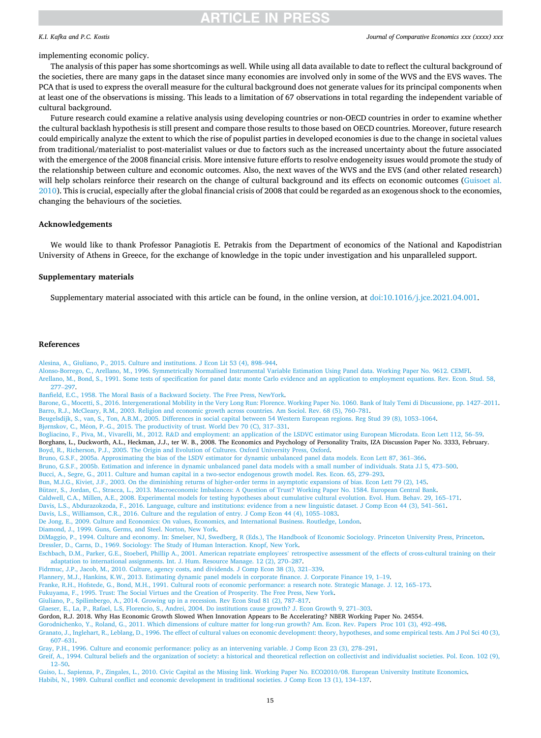### <span id="page-14-0"></span>*K.I. Kafka and P.C. Kostis*

### *Journal of Comparative Economics xxx (xxxx) xxx*

# implementing economic policy.

The analysis of this paper has some shortcomings as well. While using all data available to date to reflect the cultural background of the societies, there are many gaps in the dataset since many economies are involved only in some of the WVS and the EVS waves. The PCA that is used to express the overall measure for the cultural background does not generate values for its principal components when at least one of the observations is missing. This leads to a limitation of 67 observations in total regarding the independent variable of cultural background.

Future research could examine a relative analysis using developing countries or non-OECD countries in order to examine whether the cultural backlash hypothesis is still present and compare those results to those based on OECD countries. Moreover, future research could empirically analyze the extent to which the rise of populist parties in developed economies is due to the change in societal values from traditional/materialist to post-materialist values or due to factors such as the increased uncertainty about the future associated with the emergence of the 2008 financial crisis. More intensive future efforts to resolve endogeneity issues would promote the study of the relationship between culture and economic outcomes. Also, the next waves of the WVS and the EVS (and other related research) will help scholars reinforce their research on the change of cultural background and its effects on economic outcomes (Guisoet al. 2010). This is crucial, especially after the global financial crisis of 2008 that could be regarded as an exogenous shock to the economies, changing the behaviours of the societies.

# **Acknowledgements**

We would like to thank Professor Panagiotis E. Petrakis from the Department of economics of the National and Kapodistrian University of Athens in Greece, for the exchange of knowledge in the topic under investigation and his unparalleled support.

## **Supplementary materials**

Supplementary material associated with this article can be found, in the online version, at [doi:10.1016/j.jce.2021.04.001](https://doi.org/10.1016/j.jce.2021.04.001).

# **References**

[Alesina, A., Giuliano, P., 2015. Culture and institutions. J Econ Lit 53 \(4\), 898](http://refhub.elsevier.com/S0147-5967(21)00021-4/sbref0001)–944.

[Alonso-Borrego, C., Arellano, M., 1996. Symmetrically Normalised Instrumental Variable Estimation Using Panel data. Working Paper No. 9612. CEMFI.](http://refhub.elsevier.com/S0147-5967(21)00021-4/sbref0002) [Arellano, M., Bond, S., 1991. Some tests of specification for panel data: monte Carlo evidence and an application to employment equations. Rev. Econ. Stud. 58,](http://refhub.elsevier.com/S0147-5967(21)00021-4/sbref0003)  277–[297.](http://refhub.elsevier.com/S0147-5967(21)00021-4/sbref0003)

[Banfield, E.C., 1958. The Moral Basis of a Backward Society. The Free Press, NewYork](http://refhub.elsevier.com/S0147-5967(21)00021-4/sbref0004).

[Barone, G., Mocetti, S., 2016. Intergenerational Mobility in the Very Long Run: Florence. Working Paper No. 1060. Bank of Italy Temi di Discussione, pp. 1427](http://refhub.elsevier.com/S0147-5967(21)00021-4/sbref0005)–2011. [Barro, R.J., McCleary, R.M., 2003. Religion and economic growth across countries. Am Sociol. Rev. 68 \(5\), 760](http://refhub.elsevier.com/S0147-5967(21)00021-4/sbref0006)–781.

[Beugelsdijk, S., van, S., Ton, A.B.M., 2005. Differences in social capital between 54 Western European regions. Reg Stud 39 \(8\), 1053](http://refhub.elsevier.com/S0147-5967(21)00021-4/sbref0007)–1064.

Bjørnskov, C., Méon, P.-G., 2015. The productivity of trust. World Dev 70 (C), 317-331.

Bogliacino, F., Piva, M., Vivarelli, M., 2012. R&[D and employment: an application of the LSDVC estimator using European Microdata. Econ Lett 112, 56](http://refhub.elsevier.com/S0147-5967(21)00021-4/sbref0009)–59. Borghans, L., Duckworth, A.L., Heckman, J.J., ter W. B., 2008. The Economics and Psychology of Personality Traits, IZA Discussion Paper No. 3333, February. [Boyd, R., Richerson, P.J., 2005. The Origin and Evolution of Cultures. Oxford University Press, Oxford.](http://refhub.elsevier.com/S0147-5967(21)00021-4/sbref0011)

[Bruno, G.S.F., 2005a. Approximating the bias of the LSDV estimator for dynamic unbalanced panel data models. Econ Lett 87, 361](http://refhub.elsevier.com/S0147-5967(21)00021-4/sbref0012)–366.

[Bruno, G.S.F., 2005b. Estimation and inference in dynamic unbalanced panel data models with a small number of individuals. Stata J.l 5, 473](http://refhub.elsevier.com/S0147-5967(21)00021-4/sbref0013)–500.

[Bucci, A., Segre, G., 2011. Culture and human capital in a two-sector endogenous growth model. Res. Econ. 65, 279](http://refhub.elsevier.com/S0147-5967(21)00021-4/sbref0014)–293.

[Bun, M.J.G., Kiviet, J.F., 2003. On the diminishing returns of higher-order terms in asymptotic expansions of bias. Econ Lett 79 \(2\), 145](http://refhub.elsevier.com/S0147-5967(21)00021-4/sbref0015).

- [Bützer, S., Jordan, C., Stracca, L., 2013. Macroeconomic Imbalances: A Question of Trust? Working Paper No. 1584. European Central Bank](http://refhub.elsevier.com/S0147-5967(21)00021-4/sbref0016).
- [Caldwell, C.A., Millen, A.E., 2008. Experimental models for testing hypotheses about cumulative cultural evolution. Evol. Hum. Behav. 29, 165](http://refhub.elsevier.com/S0147-5967(21)00021-4/sbref0017)–171.
- [Davis, L.S., Abdurazokzoda, F., 2016. Language, culture and institutions: evidence from a new linguistic dataset. J Comp Econ 44 \(3\), 541](http://refhub.elsevier.com/S0147-5967(21)00021-4/sbref0018)–561.

[Davis, L.S., Williamson, C.R., 2016. Culture and the regulation of entry. J Comp Econ 44 \(4\), 1055](http://refhub.elsevier.com/S0147-5967(21)00021-4/sbref0019)–1083.

[De Jong, E., 2009. Culture and Economics: On values, Economics, and International Business. Routledge, London](http://refhub.elsevier.com/S0147-5967(21)00021-4/sbref0020).

[Diamond, J., 1999. Guns, Germs, and Steel. Norton, New York.](http://refhub.elsevier.com/S0147-5967(21)00021-4/sbref0021)

[DiMaggio, P., 1994. Culture and economy. In: Smelser, NJ, Swedberg, R \(Eds.\), The Handbook of Economic Sociology. Princeton University Press, Princeton](http://refhub.elsevier.com/S0147-5967(21)00021-4/sbref0022). [Dressler, D., Carns, D., 1969. Sociology: The Study of Human Interaction. Knopf, New York](http://refhub.elsevier.com/S0147-5967(21)00021-4/sbref0023).

[Eschbach, D.M., Parker, G.E., Stoeberl, Phillip A., 2001. American repatriate employees](http://refhub.elsevier.com/S0147-5967(21)00021-4/sbref0024)' retrospective assessment of the effects of cross-cultural training on their [adaptation to international assignments. Int. J. Hum. Resource Manage. 12 \(2\), 270](http://refhub.elsevier.com/S0147-5967(21)00021-4/sbref0024)–287.

[Fidrmuc, J.P., Jacob, M., 2010. Culture, agency costs, and dividends. J Comp Econ 38 \(3\), 321](http://refhub.elsevier.com/S0147-5967(21)00021-4/sbref0025)–339.

[Flannery, M.J., Hankins, K.W., 2013. Estimating dynamic panel models in corporate finance. J. Corporate Finance 19, 1](http://refhub.elsevier.com/S0147-5967(21)00021-4/sbref0026)–19.

[Franke, R.H., Hofstede, G., Bond, M.H., 1991. Cultural roots of economic performance: a research note. Strategic Manage. J. 12, 165](http://refhub.elsevier.com/S0147-5967(21)00021-4/sbref0027)–173.

[Fukuyama, F., 1995. Trust: The Social Virtues and the Creation of Prosperity. The Free Press, New York.](http://refhub.elsevier.com/S0147-5967(21)00021-4/sbref0028)

[Giuliano, P., Spilimbergo, A., 2014. Growing up in a recession. Rev Econ Stud 81 \(2\), 787](http://refhub.elsevier.com/S0147-5967(21)00021-4/sbref0029)–817.

[Glaeser, E., La, P., Rafael, L.S, Florencio, S., Andrei, 2004. Do institutions cause growth? J. Econ Growth 9, 271](http://refhub.elsevier.com/S0147-5967(21)00021-4/sbref0030)–303.

Gordon, R.J. 2018. Why Has Economic Growth Slowed When Innovation Appears to Be Accelerating? NBER Working Paper No. 24554.

[Gorodnichenko, Y., Roland, G., 2011. Which dimensions of culture matter for long-run growth? Am. Econ. Rev. Papers Proc 101 \(3\), 492](http://refhub.elsevier.com/S0147-5967(21)00021-4/sbref0032)–498.

[Granato, J., Inglehart, R., Leblang, D., 1996. The effect of cultural values on economic development: theory, hypotheses, and some empirical tests. Am J Pol Sci 40 \(3\),](http://refhub.elsevier.com/S0147-5967(21)00021-4/sbref0033) 607–[631.](http://refhub.elsevier.com/S0147-5967(21)00021-4/sbref0033)

[Gray, P.H., 1996. Culture and economic performance: policy as an intervening variable. J Comp Econ 23 \(3\), 278](http://refhub.elsevier.com/S0147-5967(21)00021-4/sbref0034)–291.

[Greif, A., 1994. Cultural beliefs and the organization of society: a historical and theoretical reflection on collectivist and individualist societies. Pol. Econ. 102 \(9\),](http://refhub.elsevier.com/S0147-5967(21)00021-4/sbref0035) [12](http://refhub.elsevier.com/S0147-5967(21)00021-4/sbref0035)–50.

[Guiso, L., Sapienza, P., Zingales, L., 2010. Civic Capital as the Missing link. Working Paper No. ECO2010/08. European University Institute Economics](http://refhub.elsevier.com/S0147-5967(21)00021-4/sbref0036). [Habibi, N., 1989. Cultural conflict and economic development in traditional societies. J Comp Econ 13 \(1\), 134](http://refhub.elsevier.com/S0147-5967(21)00021-4/sbref0037)–137.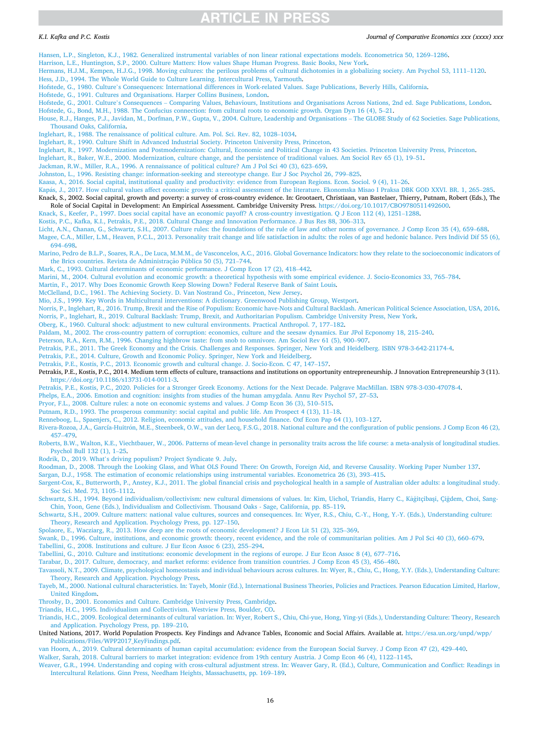### <span id="page-15-0"></span>*K.I. Kafka and P.C. Kostis*

#### *Journal of Comparative Economics xxx (xxxx) xxx*

[Hansen, L.P., Singleton, K.J., 1982. Generalized instrumental variables of non linear rational expectations models. Econometrica 50, 1269](http://refhub.elsevier.com/S0147-5967(21)00021-4/sbref0038)–1286.

### [Harrison, L.E., Huntington, S.P., 2000. Culture Matters: How values Shape Human Progress. Basic Books, New York](http://refhub.elsevier.com/S0147-5967(21)00021-4/sbref0039).

- [Hermans, H.J.M., Kempen, H.J.G., 1998. Moving cultures: the perilous problems of cultural dichotomies in a globalizing society. Am Psychol 53, 1111](http://refhub.elsevier.com/S0147-5967(21)00021-4/sbref0040)–1120.
- [Hess, J.D., 1994. The Whole World Guide to Culture Learning. Intercultural Press, Yarmouth.](http://refhub.elsevier.com/S0147-5967(21)00021-4/sbref0041)

Hofstede, G., 1980. Culture'[s Consequences: International differences in Work-related Values. Sage Publications, Beverly Hills, California.](http://refhub.elsevier.com/S0147-5967(21)00021-4/sbref0042)

- [Hofstede, G., 1991. Cultures and Organisations. Harper Collins Business, London](http://refhub.elsevier.com/S0147-5967(21)00021-4/sbref0043).
- Hofstede, G., 2001. Culture's Consequences [Comparing Values, Behaviours, Institutions and Organisations Across Nations, 2nd ed. Sage Publications, London](http://refhub.elsevier.com/S0147-5967(21)00021-4/sbref0044).

[Hofstede, G., Bond, M.H., 1988. The Confucius connection: from cultural roots to economic growth. Organ Dyn 16 \(4\), 5](http://refhub.elsevier.com/S0147-5967(21)00021-4/sbref0045)–21.

[House, R.J., Hanges, P.J., Javidan, M., Dorfman, P.W., Gupta, V., 2004. Culture, Leadership and Organisations](http://refhub.elsevier.com/S0147-5967(21)00021-4/sbref0047) – The GLOBE Study of 62 Societies. Sage Publications, [Thousand Oaks, California](http://refhub.elsevier.com/S0147-5967(21)00021-4/sbref0047).

[Inglehart, R., 1988. The renaissance of political culture. Am. Pol. Sci. Rev. 82, 1028](http://refhub.elsevier.com/S0147-5967(21)00021-4/sbref0048)–1034.

- [Inglehart, R., 1990. Culture Shift in Advanced Industrial Society. Princeton University Press, Princeton](http://refhub.elsevier.com/S0147-5967(21)00021-4/sbref0049).
- [Inglehart, R., 1997. Modernization and Postmodernization: Cultural, Economic and Political Change in 43 Societies. Princeton University Press, Princeton](http://refhub.elsevier.com/S0147-5967(21)00021-4/sbref0050).
- [Inglehart, R., Baker, W.E., 2000. Modernization, culture change, and the persistence of traditional values. Am Sociol Rev 65 \(1\), 19](http://refhub.elsevier.com/S0147-5967(21)00021-4/sbref0051)–51.

[Jackman, R.W., Miller, R.A., 1996. A rennaissance of political culture? Am J Pol Sci 40 \(3\), 623](http://refhub.elsevier.com/S0147-5967(21)00021-4/sbref0052)–659.

[Johnston, L., 1996. Resisting change: information-seeking and stereotype change. Eur J Soc Psychol 26, 799](http://refhub.elsevier.com/S0147-5967(21)00021-4/sbref0053)–825.

[Kaasa, A., 2016. Social capital, institutional quality and productivity: evidence from European Regions. Econ. Sociol. 9 \(4\), 11](http://refhub.elsevier.com/S0147-5967(21)00021-4/sbref0054)–26.

- Kapás, J., 2017. How cultural values affect economic growth: a critical assessment of the literature. Ekonomska Misao I Praksa DBK GOD XXVI. BR. 1, 265-285. Knack, S., 2002. Social capital, growth and poverty: a survey of cross-country evidence. In: Grootaert, Christiaan, van Bastelaer, Thierry, Putnam, Robert (Eds.), The
- Role of Social Capital in Development: An Empirical Assessment. Cambridge University Press. [https://doi.org/10.1017/CBO9780511492600.](https://doi.org/10.1017/CBO9780511492600)

[Knack, S., Keefer, P., 1997. Does social capital have an economic payoff? A cross-country investigation. Q J Econ 112 \(4\), 1251](http://refhub.elsevier.com/S0147-5967(21)00021-4/sbref0057)–1288.

[Kostis, P.C., Kafka, K.I., Petrakis, P.E., 2018. Cultural Change and Innovation Performance. J Bus Res 88, 306](http://refhub.elsevier.com/S0147-5967(21)00021-4/sbref0058)–313.

[Licht, A.N., Chanan, G., Schwartz, S.H., 2007. Culture rules: the foundations of the rule of law and other norms of governance. J Comp Econ 35 \(4\), 659](http://refhub.elsevier.com/S0147-5967(21)00021-4/sbref0059)–688. [Magee, C.A., Miller, L.M., Heaven, P.C.L., 2013. Personality trait change and life satisfaction in adults: the roles of age and hedonic balance. Pers Individ Dif 55 \(6\),](http://refhub.elsevier.com/S0147-5967(21)00021-4/sbref0060) 694–[698.](http://refhub.elsevier.com/S0147-5967(21)00021-4/sbref0060)

[Marino, Pedro de B.L.P., Soares, R.A., De Luca, M.M.M., de Vasconcelos, A.C., 2016. Global Governance Indicators: how they relate to the socioeconomic indicators of](http://refhub.elsevier.com/S0147-5967(21)00021-4/sbref0061) the Brics countries. Revista de Administração Pública 50 (5), 721-744.

[Mark, C., 1993. Cultural determinants of economic performance. J Comp Econ 17 \(2\), 418](http://refhub.elsevier.com/S0147-5967(21)00021-4/sbref0062)–442.

[Marini, M., 2004. Cultural evolution and economic growth: a theoretical hypothesis with some empirical evidence. J. Socio-Economics 33, 765](http://refhub.elsevier.com/S0147-5967(21)00021-4/sbref0063)–784.

[Martin, F., 2017. Why Does Economic Growth Keep Slowing Down? Federal Reserve Bank of Saint Louis.](http://refhub.elsevier.com/S0147-5967(21)00021-4/sbref0064)

[McClelland, D.C., 1961. The Achieving Society. D. Van Nostrand Co., Princeton, New Jersey](http://refhub.elsevier.com/S0147-5967(21)00021-4/sbref0065).

[Mio, J.S., 1999. Key Words in Multicultural interventions: A dictionary. Greenwood Publishing Group, Westport](http://refhub.elsevier.com/S0147-5967(21)00021-4/sbref0066).

[Norris, P., Inglehart, R., 2016. Trump, Brexit and the Rise of Populism: Economic have-Nots and Cultural Backlash. American Political Science Association, USA, 2016.](http://refhub.elsevier.com/S0147-5967(21)00021-4/sbref0067) [Norris, P., Inglehart, R., 2019. Cultural Backlash: Trump, Brexit, and Authoritarian Populism. Cambridge University Press, New York](http://refhub.elsevier.com/S0147-5967(21)00021-4/sbref0068).

[Oberg, K., 1960. Cultural shock: adjustment to new cultural environments. Practical Anthropol. 7, 177](http://refhub.elsevier.com/S0147-5967(21)00021-4/sbref0069)–182.

[Paldam, M., 2002. The cross-country pattern of corruption: economics, culture and the seesaw dynamics. Eur JPol Ecponomy 18, 215](http://refhub.elsevier.com/S0147-5967(21)00021-4/sbref0070)–240.

[Peterson, R.A., Kern, R.M., 1996. Changing highbrow taste: from snob to omnivore. Am Sociol Rev 61 \(5\), 900](http://refhub.elsevier.com/S0147-5967(21)00021-4/sbref0071)–907.

- [Petrakis, P.E., 2011. The Greek Economy and the Crisis. Challenges and Responses. Springer, New York and Heidelberg. ISBN 978-3-642-21174-4](http://refhub.elsevier.com/S0147-5967(21)00021-4/sbref0072).
- [Petrakis, P.E., 2014. Culture, Growth and Economic Policy. Springer, New York and Heidelberg.](http://refhub.elsevier.com/S0147-5967(21)00021-4/sbref0073)

[Petrakis, P.E., Kostis, P.C., 2013. Economic growth and cultural change. J. Socio-Econ. C 47, 147](http://refhub.elsevier.com/S0147-5967(21)00021-4/sbref0074)–157.

Petrakis, P.E., Kostis, P.C., 2014. Medium term effects of culture, transactions and institutions on opportunity entrepreneurship. J Innovation Entrepreneurship 3 (11). <https://doi.org/10.1186/s13731-014-0011-3>.

[Petrakis, P.E., Kostis, P.C., 2020. Policies for a Stronger Greek Economy. Actions for the Next Decade. Palgrave MacMillan. ISBN 978-3-030-47078-4.](http://refhub.elsevier.com/S0147-5967(21)00021-4/sbref0076)

[Phelps, E.A., 2006. Emotion and cognition: insights from studies of the human amygdala. Annu Rev Psychol 57, 27](http://refhub.elsevier.com/S0147-5967(21)00021-4/sbref0077)–53.

[Pryor, F.L., 2008. Culture rules: a note on economic systems and values. J Comp Econ 36 \(3\), 510](http://refhub.elsevier.com/S0147-5967(21)00021-4/sbref0078)–515.

[Putnam, R.D., 1993. The prosperous community: social capital and public life. Am Prospect 4 \(13\), 11](http://refhub.elsevier.com/S0147-5967(21)00021-4/sbref0079)–18.

[Renneboog, L., Spaenjers, C., 2012. Religion, economic attitudes, and household finance. Oxf Econ Pap 64 \(1\), 103](http://refhub.elsevier.com/S0147-5967(21)00021-4/sbref0080)–127.

Rivera-Rozoa, J.A., García-Huitrón, M.E., Steenbeek, O.W., van der Lecq, F.S.G., 2018. National culture and the configuration of public pensions. J Comp Econ 46 (2), 457–[479.](http://refhub.elsevier.com/S0147-5967(21)00021-4/sbref0081)

[Roberts, B.W., Walton, K.E., Viechtbauer, W., 2006. Patterns of mean-level change in personality traits across the life course: a meta-analysis of longitudinal studies.](http://refhub.elsevier.com/S0147-5967(21)00021-4/sbref0082) [Psychol Bull 132 \(1\), 1](http://refhub.elsevier.com/S0147-5967(21)00021-4/sbref0082)–25.

Rodrik, D., 2019. What'[s driving populism? Project Syndicate 9. July.](http://refhub.elsevier.com/S0147-5967(21)00021-4/sbref0083)

[Roodman, D., 2008. Through the Looking Glass, and What OLS Found There: On Growth, Foreign Aid, and Reverse Causality. Working Paper Number 137.](http://refhub.elsevier.com/S0147-5967(21)00021-4/sbref009a)

[Sargan, D.J., 1958. The estimation of economic relationships using instrumental variables. Econometrica 26 \(3\), 393](http://refhub.elsevier.com/S0147-5967(21)00021-4/sbref0085)–415.

[Sargent-Cox, K., Butterworth, P., Anstey, K.J., 2011. The global financial crisis and psychological health in a sample of Australian older adults: a longitudinal study.](http://refhub.elsevier.com/S0147-5967(21)00021-4/sbref0086) [Soc Sci. Med. 73, 1105](http://refhub.elsevier.com/S0147-5967(21)00021-4/sbref0086)–1112.

Schwartz, S.H., 1994. Beyond individualism/collectivism: new cultural dimensions of values. In: Kim, Uichol, Triandis, Harry C., Kâğitçibaşi, Çiğdem, Choi, Sang-[Chin, Yoon, Gene \(Eds.\), Individualism and Collectivism. Thousand Oaks - Sage, California, pp. 85](http://refhub.elsevier.com/S0147-5967(21)00021-4/sbref0087)–119.

[Schwartz, S.H., 2009. Culture matters: national value cultures, sources and consequences. In: Wyer, R.S., Chiu, C.-Y., Hong, Y.-Y. \(Eds.\), Understanding culture:](http://refhub.elsevier.com/S0147-5967(21)00021-4/sbref0088)  [Theory, Research and Application. Psychology Press, pp. 127](http://refhub.elsevier.com/S0147-5967(21)00021-4/sbref0088)–150.

[Spolaore, E., Wacziarg, R., 2013. How deep are the roots of economic development? J Econ Lit 51 \(2\), 325](http://refhub.elsevier.com/S0147-5967(21)00021-4/sbref0089)–369.

[Swank, D., 1996. Culture, institutions, and economic growth: theory, recent evidence, and the role of communitarian polities. Am J Pol Sci 40 \(3\), 660](http://refhub.elsevier.com/S0147-5967(21)00021-4/sbref0090)–679. [Tabellini, G., 2008. Institutions and culture. J Eur Econ Assoc 6 \(23\), 255](http://refhub.elsevier.com/S0147-5967(21)00021-4/sbref0091)–294.

[Tabellini, G., 2010. Culture and institutions: economic development in the regions of europe. J Eur Econ Assoc 8 \(4\), 677](http://refhub.elsevier.com/S0147-5967(21)00021-4/sbref0092)–716.

[Tarabar, D., 2017. Culture, democracy, and market reforms: evidence from transition countries. J Comp Econ 45 \(3\), 456](http://refhub.elsevier.com/S0147-5967(21)00021-4/sbref0093)–480.

[Tavassoli, N.T., 2009. Climate, psychological homeostasis and individual behaviours across cultures. In: Wyer, R., Chiu, C., Hong, Y.Y. \(Eds.\), Understanding Culture:](http://refhub.elsevier.com/S0147-5967(21)00021-4/sbref0094) [Theory, Research and Application. Psychology Press.](http://refhub.elsevier.com/S0147-5967(21)00021-4/sbref0094)

[Tayeb, M., 2000. National cultural characteristics. In: Tayeb, Monir \(Ed.\), International Business Theories, Policies and Practices. Pearson Education Limited, Harlow,](http://refhub.elsevier.com/S0147-5967(21)00021-4/sbref0095) [United Kingdom.](http://refhub.elsevier.com/S0147-5967(21)00021-4/sbref0095)

[Throsby, D., 2001. Economics and Culture. Cambridge University Press, Cambridge.](http://refhub.elsevier.com/S0147-5967(21)00021-4/sbref0096)

[Triandis, H.C., 1995. Individualism and Collectivism. Westview Press, Boulder, CO.](http://refhub.elsevier.com/S0147-5967(21)00021-4/sbref0097)

[Triandis, H.C., 2009. Ecological determinants of cultural variation. In: Wyer, Robert S., Chiu, Chi-yue, Hong, Ying-yi \(Eds.\), Understanding Culture: Theory, Research](http://refhub.elsevier.com/S0147-5967(21)00021-4/sbref0098) [and Application. Psychology Press, pp. 189](http://refhub.elsevier.com/S0147-5967(21)00021-4/sbref0098)–210.

United Nations, 2017. World Population Prospects. Key Findings and Advance Tables, Economic and Social Affairs. Available at. [https://esa.un.org/unpd/wpp/](https://esa.un.org/unpd/wpp/Publications/Files/WPP2017_KeyFindings.pdf) [Publications/Files/WPP2017\\_KeyFindings.pdf](https://esa.un.org/unpd/wpp/Publications/Files/WPP2017_KeyFindings.pdf).

[van Hoorn, A., 2019. Cultural determinants of human capital accumulation: evidence from the European Social Survey. J Comp Econ 47 \(2\), 429](http://refhub.elsevier.com/S0147-5967(21)00021-4/sbref0100)–440.

[Walker, Sarah, 2018. Cultural barriers to market integration: evidence from 19th century Austria. J Comp Econ 46 \(4\), 1122](http://refhub.elsevier.com/S0147-5967(21)00021-4/sbref0101)–1145.

[Weaver, G.R., 1994. Understanding and coping with cross-cultural adjustment stress. In: Weaver Gary, R. \(Ed.\), Culture, Communication and Conflict: Readings in](http://refhub.elsevier.com/S0147-5967(21)00021-4/sbref0102) [Intercultural Relations. Ginn Press, Needham Heights, Massachusetts, pp. 169](http://refhub.elsevier.com/S0147-5967(21)00021-4/sbref0102)–189.